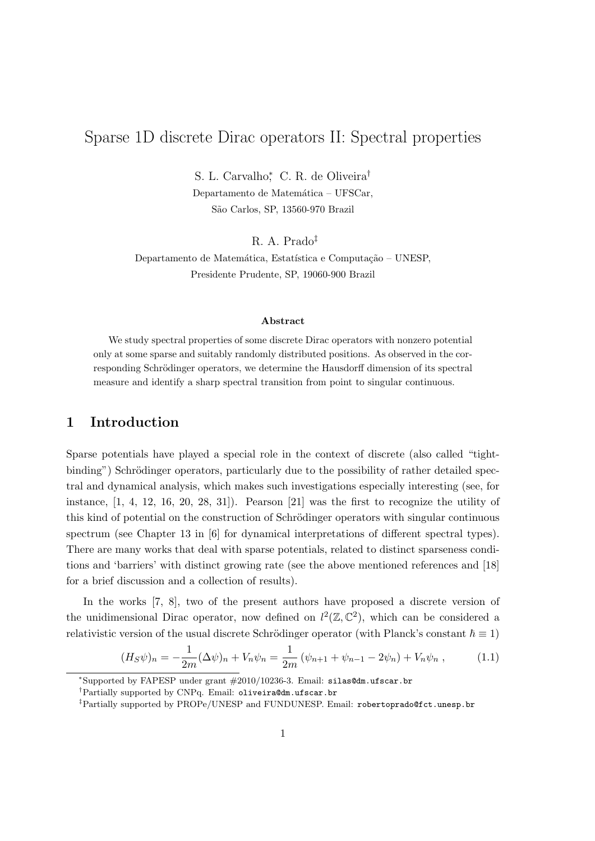# Sparse 1D discrete Dirac operators II: Spectral properties

S. L. Carvalho<sup>∗</sup> , C. R. de Oliveira† Departamento de Matemática – UFSCar, S˜ao Carlos, SP, 13560-970 Brazil

R. A. Prado‡

Departamento de Matemática, Estatística e Computação – UNESP, Presidente Prudente, SP, 19060-900 Brazil

#### Abstract

We study spectral properties of some discrete Dirac operators with nonzero potential only at some sparse and suitably randomly distributed positions. As observed in the corresponding Schrödinger operators, we determine the Hausdorff dimension of its spectral measure and identify a sharp spectral transition from point to singular continuous.

## 1 Introduction

Sparse potentials have played a special role in the context of discrete (also called "tightbinding") Schrödinger operators, particularly due to the possibility of rather detailed spectral and dynamical analysis, which makes such investigations especially interesting (see, for instance,  $[1, 4, 12, 16, 20, 28, 31]$ . Pearson  $[21]$  was the first to recognize the utility of this kind of potential on the construction of Schrödinger operators with singular continuous spectrum (see Chapter 13 in [6] for dynamical interpretations of different spectral types). There are many works that deal with sparse potentials, related to distinct sparseness conditions and 'barriers' with distinct growing rate (see the above mentioned references and [18] for a brief discussion and a collection of results).

In the works [7, 8], two of the present authors have proposed a discrete version of the unidimensional Dirac operator, now defined on  $l^2(\mathbb{Z}, \mathbb{C}^2)$ , which can be considered a relativistic version of the usual discrete Schrödinger operator (with Planck's constant  $\hbar \equiv 1$ )

$$
(H_S\psi)_n = -\frac{1}{2m}(\Delta\psi)_n + V_n\psi_n = \frac{1}{2m}(\psi_{n+1} + \psi_{n-1} - 2\psi_n) + V_n\psi_n ,
$$
 (1.1)

<sup>∗</sup>Supported by FAPESP under grant #2010/10236-3. Email: silas@dm.ufscar.br

<sup>†</sup>Partially supported by CNPq. Email: oliveira@dm.ufscar.br

<sup>‡</sup>Partially supported by PROPe/UNESP and FUNDUNESP. Email: robertoprado@fct.unesp.br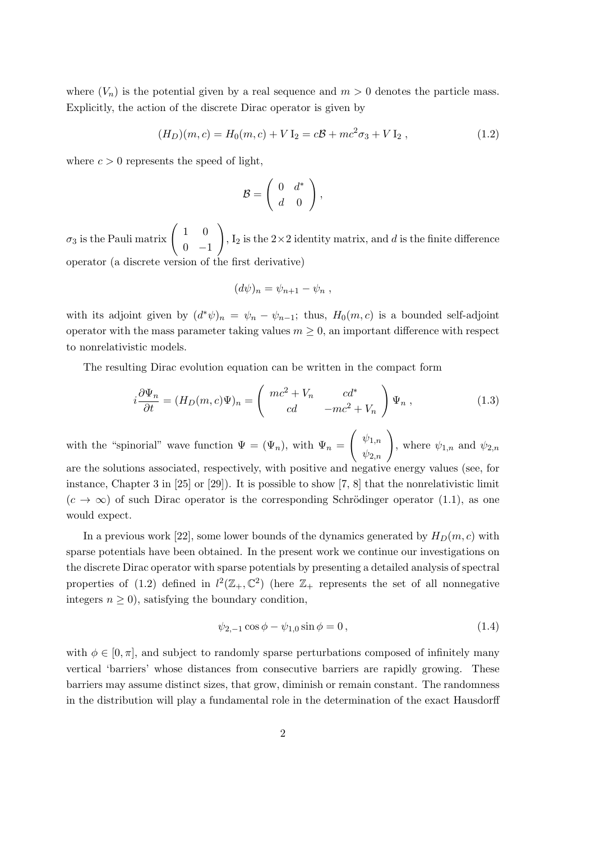where  $(V_n)$  is the potential given by a real sequence and  $m > 0$  denotes the particle mass. Explicitly, the action of the discrete Dirac operator is given by

$$
(H_D)(m, c) = H_0(m, c) + V I_2 = c\mathcal{B} + mc^2 \sigma_3 + V I_2 , \qquad (1.2)
$$

where  $c > 0$  represents the speed of light,

$$
\mathcal{B} = \left( \begin{array}{cc} 0 & d^* \\ d & 0 \end{array} \right),
$$

 $\sigma_3$  is the Pauli matrix  $\begin{pmatrix} 1 & 0 \\ 0 & 1 \end{pmatrix}$  $0 -1$  $\setminus$ ,  $I_2$  is the  $2\times 2$  identity matrix, and d is the finite difference operator (a discrete version of the first derivative)

$$
(d\psi)_n = \psi_{n+1} - \psi_n ,
$$

with its adjoint given by  $(d^*\psi)_n = \psi_n - \psi_{n-1}$ ; thus,  $H_0(m, c)$  is a bounded self-adjoint operator with the mass parameter taking values  $m \geq 0$ , an important difference with respect to nonrelativistic models.

The resulting Dirac evolution equation can be written in the compact form

$$
i\frac{\partial \Psi_n}{\partial t} = (H_D(m, c)\Psi)_n = \begin{pmatrix} mc^2 + V_n & cd^* \\ cd & -mc^2 + V_n \end{pmatrix} \Psi_n , \qquad (1.3)
$$

with the "spinorial" wave function  $\Psi = (\Psi_n)$ , with  $\Psi_n =$  $\left(\begin{array}{c} \psi_{1,n} \\ \psi_{2,n} \end{array}\right)$ , where  $\psi_{1,n}$  and  $\psi_{2,n}$ are the solutions associated, respectively, with positive and negative energy values (see, for instance, Chapter 3 in [25] or [29]). It is possible to show [7, 8] that the nonrelativistic limit  $(c \to \infty)$  of such Dirac operator is the corresponding Schrödinger operator (1.1), as one would expect.

In a previous work [22], some lower bounds of the dynamics generated by  $H_D(m, c)$  with sparse potentials have been obtained. In the present work we continue our investigations on the discrete Dirac operator with sparse potentials by presenting a detailed analysis of spectral properties of (1.2) defined in  $l^2(\mathbb{Z}_+,\mathbb{C}^2)$  (here  $\mathbb{Z}_+$  represents the set of all nonnegative integers  $n \geq 0$ , satisfying the boundary condition,

$$
\psi_{2,-1}\cos\phi - \psi_{1,0}\sin\phi = 0, \qquad (1.4)
$$

with  $\phi \in [0, \pi]$ , and subject to randomly sparse perturbations composed of infinitely many vertical 'barriers' whose distances from consecutive barriers are rapidly growing. These barriers may assume distinct sizes, that grow, diminish or remain constant. The randomness in the distribution will play a fundamental role in the determination of the exact Hausdorff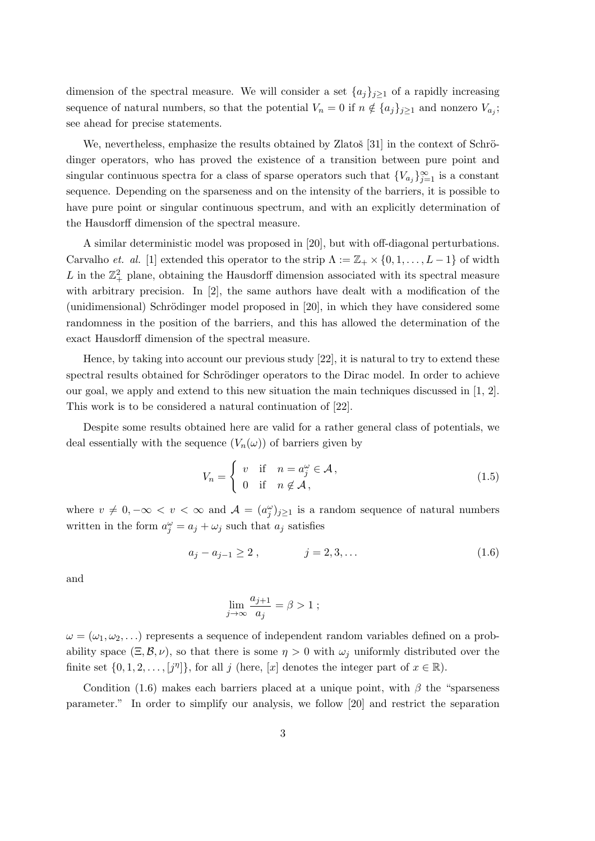dimension of the spectral measure. We will consider a set  $\{a_j\}_{j\geq 1}$  of a rapidly increasing sequence of natural numbers, so that the potential  $V_n = 0$  if  $n \notin \{a_j\}_{j\geq 1}$  and nonzero  $V_{a_j}$ ; see ahead for precise statements.

We, nevertheless, emphasize the results obtained by Zlatoš [31] in the context of Schrödinger operators, who has proved the existence of a transition between pure point and singular continuous spectra for a class of sparse operators such that  ${V_{a_j}}_{j=1}^{\infty}$  is a constant sequence. Depending on the sparseness and on the intensity of the barriers, it is possible to have pure point or singular continuous spectrum, and with an explicitly determination of the Hausdorff dimension of the spectral measure.

A similar deterministic model was proposed in [20], but with off-diagonal perturbations. Carvalho et. al. [1] extended this operator to the strip  $\Lambda := \mathbb{Z}_+ \times \{0, 1, \ldots, L-1\}$  of width L in the  $\mathbb{Z}_+^2$  plane, obtaining the Hausdorff dimension associated with its spectral measure with arbitrary precision. In [2], the same authors have dealt with a modification of the (unidimensional) Schrödinger model proposed in  $[20]$ , in which they have considered some randomness in the position of the barriers, and this has allowed the determination of the exact Hausdorff dimension of the spectral measure.

Hence, by taking into account our previous study [22], it is natural to try to extend these spectral results obtained for Schrödinger operators to the Dirac model. In order to achieve our goal, we apply and extend to this new situation the main techniques discussed in [1, 2]. This work is to be considered a natural continuation of [22].

Despite some results obtained here are valid for a rather general class of potentials, we deal essentially with the sequence  $(V_n(\omega))$  of barriers given by

$$
V_n = \begin{cases} v & \text{if } n = a_j^{\omega} \in \mathcal{A}, \\ 0 & \text{if } n \notin \mathcal{A}, \end{cases}
$$
 (1.5)

where  $v \neq 0, -\infty < v < \infty$  and  $\mathcal{A} = (a_j^{\omega})_{j \geq 1}$  is a random sequence of natural numbers written in the form  $a_j^{\omega} = a_j + \omega_j$  such that  $a_j$  satisfies

$$
a_j - a_{j-1} \ge 2 , \qquad j = 2, 3, \dots \tag{1.6}
$$

and

$$
\lim_{j \to \infty} \frac{a_{j+1}}{a_j} = \beta > 1 ;
$$

 $\omega = (\omega_1, \omega_2, \ldots)$  represents a sequence of independent random variables defined on a probability space  $(\Xi, \mathcal{B}, \nu)$ , so that there is some  $\eta > 0$  with  $\omega_i$  uniformly distributed over the finite set  $\{0, 1, 2, \ldots, [j^n]\}$ , for all j (here, [x] denotes the integer part of  $x \in \mathbb{R}$ ).

Condition (1.6) makes each barriers placed at a unique point, with  $\beta$  the "sparseness" parameter." In order to simplify our analysis, we follow [20] and restrict the separation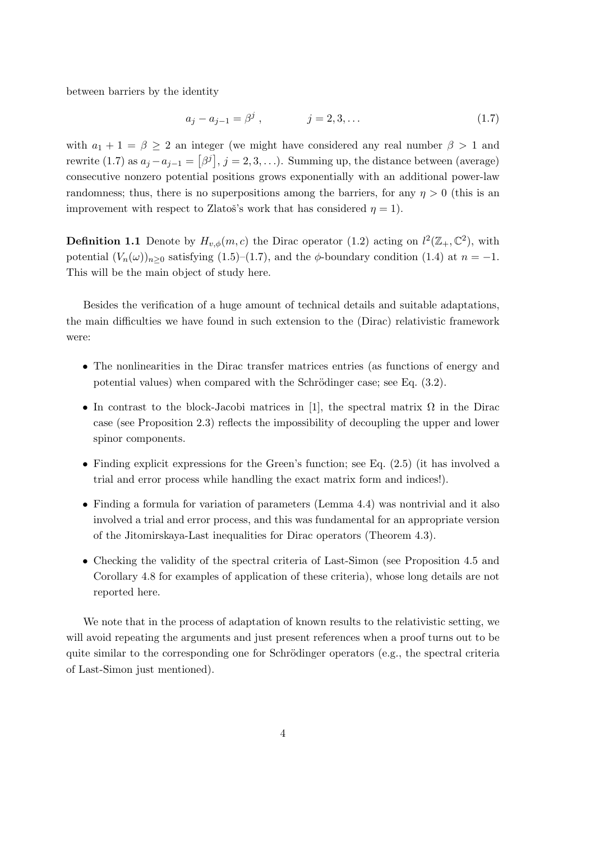between barriers by the identity

$$
a_j - a_{j-1} = \beta^j , \qquad j = 2, 3, \dots \tag{1.7}
$$

with  $a_1 + 1 = \beta \ge 2$  an integer (we might have considered any real number  $\beta > 1$  and rewrite (1.7) as  $a_j - a_{j-1} = [\beta^j], j = 2, 3, \ldots$ ). Summing up, the distance between (average) consecutive nonzero potential positions grows exponentially with an additional power-law randomness; thus, there is no superpositions among the barriers, for any  $\eta > 0$  (this is an improvement with respect to Zlatoš's work that has considered  $\eta = 1$ ).

**Definition 1.1** Denote by  $H_{v,\phi}(m,c)$  the Dirac operator (1.2) acting on  $l^2(\mathbb{Z}_+,\mathbb{C}^2)$ , with potential  $(V_n(\omega))_{n\geq 0}$  satisfying  $(1.5)-(1.7)$ , and the  $\phi$ -boundary condition  $(1.4)$  at  $n=-1$ . This will be the main object of study here.

Besides the verification of a huge amount of technical details and suitable adaptations, the main difficulties we have found in such extension to the (Dirac) relativistic framework were:

- The nonlinearities in the Dirac transfer matrices entries (as functions of energy and potential values) when compared with the Schrödinger case; see Eq.  $(3.2)$ .
- In contrast to the block-Jacobi matrices in [1], the spectral matrix  $\Omega$  in the Dirac case (see Proposition 2.3) reflects the impossibility of decoupling the upper and lower spinor components.
- Finding explicit expressions for the Green's function; see Eq. (2.5) (it has involved a trial and error process while handling the exact matrix form and indices!).
- Finding a formula for variation of parameters (Lemma 4.4) was nontrivial and it also involved a trial and error process, and this was fundamental for an appropriate version of the Jitomirskaya-Last inequalities for Dirac operators (Theorem 4.3).
- Checking the validity of the spectral criteria of Last-Simon (see Proposition 4.5 and Corollary 4.8 for examples of application of these criteria), whose long details are not reported here.

We note that in the process of adaptation of known results to the relativistic setting, we will avoid repeating the arguments and just present references when a proof turns out to be quite similar to the corresponding one for Schrödinger operators (e.g., the spectral criteria of Last-Simon just mentioned).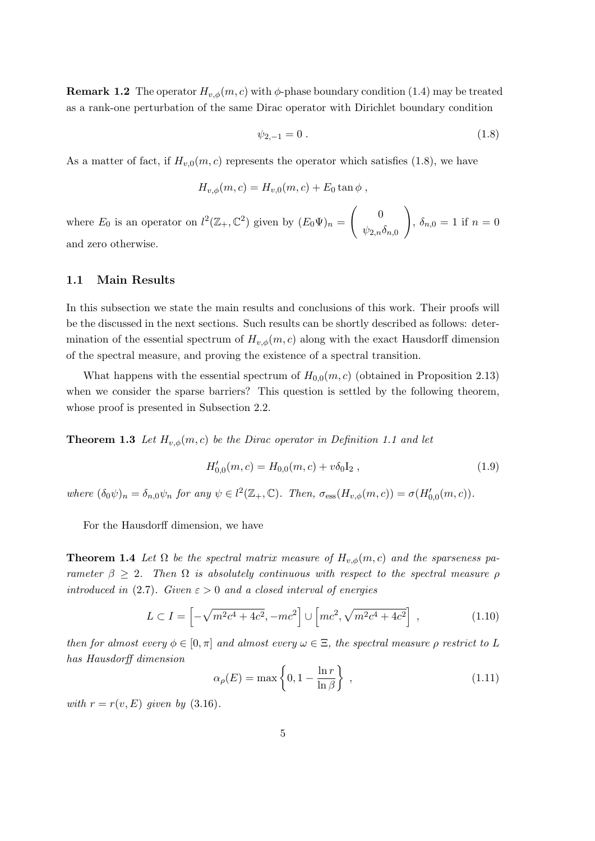**Remark 1.2** The operator  $H_{v,\phi}(m, c)$  with  $\phi$ -phase boundary condition (1.4) may be treated as a rank-one perturbation of the same Dirac operator with Dirichlet boundary condition

$$
\psi_{2,-1} = 0 \tag{1.8}
$$

As a matter of fact, if  $H_{v,0}(m, c)$  represents the operator which satisfies (1.8), we have

$$
H_{v,\phi}(m,c) = H_{v,0}(m,c) + E_0 \tan \phi ,
$$

where  $E_0$  is an operator on  $l^2(\mathbb{Z}_+,\mathbb{C}^2)$  given by  $(E_0\Psi)_n =$  $\begin{pmatrix} 0 \\ 0 \end{pmatrix}$  $\psi_{2,n}\delta_{n,0}$  $\setminus$ ,  $\delta_{n,0} = 1$  if  $n = 0$ and zero otherwise.

#### 1.1 Main Results

In this subsection we state the main results and conclusions of this work. Their proofs will be the discussed in the next sections. Such results can be shortly described as follows: determination of the essential spectrum of  $H_{v,\phi}(m, c)$  along with the exact Hausdorff dimension of the spectral measure, and proving the existence of a spectral transition.

What happens with the essential spectrum of  $H_{0,0}(m, c)$  (obtained in Proposition 2.13) when we consider the sparse barriers? This question is settled by the following theorem, whose proof is presented in Subsection 2.2.

**Theorem 1.3** Let  $H_{v,\phi}(m,c)$  be the Dirac operator in Definition 1.1 and let

$$
H'_{0,0}(m,c) = H_{0,0}(m,c) + v\delta_0 I_2 , \qquad (1.9)
$$

where  $(\delta_0 \psi)_n = \delta_{n,0} \psi_n$  for any  $\psi \in l^2(\mathbb{Z}_+, \mathbb{C})$ . Then,  $\sigma_{\text{ess}}(H_{v,\phi}(m,c)) = \sigma(H'_{0,0}(m,c))$ .

For the Hausdorff dimension, we have

**Theorem 1.4** Let  $\Omega$  be the spectral matrix measure of  $H_{v,\phi}(m,c)$  and the sparseness parameter  $\beta \geq 2$ . Then  $\Omega$  is absolutely continuous with respect to the spectral measure  $\rho$ introduced in (2.7). Given  $\varepsilon > 0$  and a closed interval of energies

$$
L \subset I = \left[ -\sqrt{m^2 c^4 + 4c^2}, -mc^2 \right] \cup \left[ mc^2, \sqrt{m^2 c^4 + 4c^2} \right] , \qquad (1.10)
$$

then for almost every  $\phi \in [0, \pi]$  and almost every  $\omega \in \Xi$ , the spectral measure  $\rho$  restrict to L has Hausdorff dimension

$$
\alpha_{\rho}(E) = \max\left\{0, 1 - \frac{\ln r}{\ln \beta}\right\},\tag{1.11}
$$

with  $r = r(v, E)$  given by (3.16).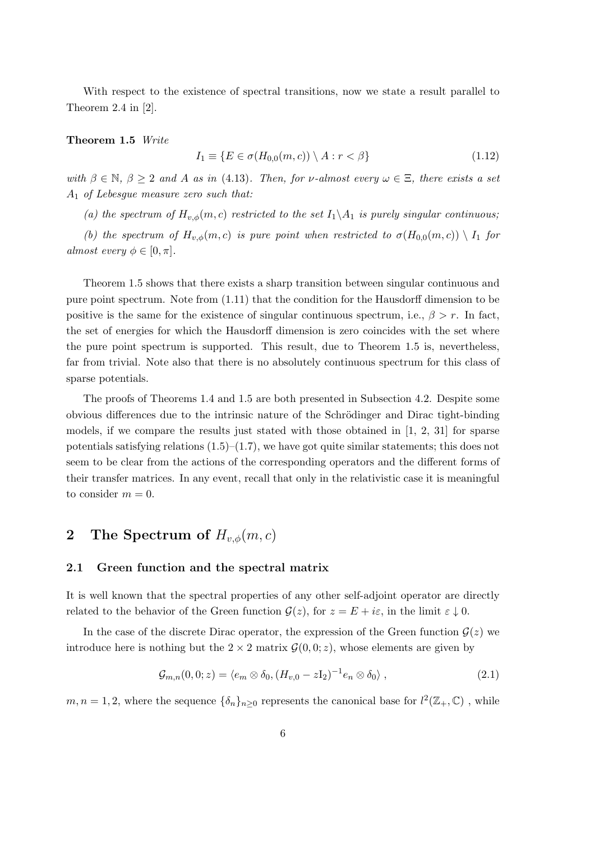With respect to the existence of spectral transitions, now we state a result parallel to Theorem 2.4 in [2].

#### Theorem 1.5 Write

$$
I_1 \equiv \{ E \in \sigma(H_{0,0}(m,c)) \setminus A : r < \beta \}
$$
\n
$$
(1.12)
$$

with  $\beta \in \mathbb{N}, \beta \geq 2$  and A as in (4.13). Then, for v-almost every  $\omega \in \Xi$ , there exists a set  $A_1$  of Lebesgue measure zero such that:

(a) the spectrum of  $H_{v,\phi}(m,c)$  restricted to the set  $I_1 \backslash A_1$  is purely singular continuous;

(b) the spectrum of  $H_{v,\phi}(m,c)$  is pure point when restricted to  $\sigma(H_{0,0}(m,c)) \setminus I_1$  for almost every  $\phi \in [0, \pi]$ .

Theorem 1.5 shows that there exists a sharp transition between singular continuous and pure point spectrum. Note from (1.11) that the condition for the Hausdorff dimension to be positive is the same for the existence of singular continuous spectrum, i.e.,  $\beta > r$ . In fact, the set of energies for which the Hausdorff dimension is zero coincides with the set where the pure point spectrum is supported. This result, due to Theorem 1.5 is, nevertheless, far from trivial. Note also that there is no absolutely continuous spectrum for this class of sparse potentials.

The proofs of Theorems 1.4 and 1.5 are both presented in Subsection 4.2. Despite some obvious differences due to the intrinsic nature of the Schrödinger and Dirac tight-binding models, if we compare the results just stated with those obtained in  $[1, 2, 31]$  for sparse potentials satisfying relations  $(1.5)-(1.7)$ , we have got quite similar statements; this does not seem to be clear from the actions of the corresponding operators and the different forms of their transfer matrices. In any event, recall that only in the relativistic case it is meaningful to consider  $m = 0$ .

## 2 The Spectrum of  $H_{v,\phi}(m,c)$

#### 2.1 Green function and the spectral matrix

It is well known that the spectral properties of any other self-adjoint operator are directly related to the behavior of the Green function  $\mathcal{G}(z)$ , for  $z = E + i\varepsilon$ , in the limit  $\varepsilon \downarrow 0$ .

In the case of the discrete Dirac operator, the expression of the Green function  $\mathcal{G}(z)$  we introduce here is nothing but the  $2 \times 2$  matrix  $\mathcal{G}(0,0;z)$ , whose elements are given by

$$
\mathcal{G}_{m,n}(0,0;z) = \langle e_m \otimes \delta_0, (H_{v,0} - zI_2)^{-1} e_n \otimes \delta_0 \rangle, \qquad (2.1)
$$

 $m, n = 1, 2$ , where the sequence  $\{\delta_n\}_{n \geq 0}$  represents the canonical base for  $l^2(\mathbb{Z}_+, \mathbb{C})$ , while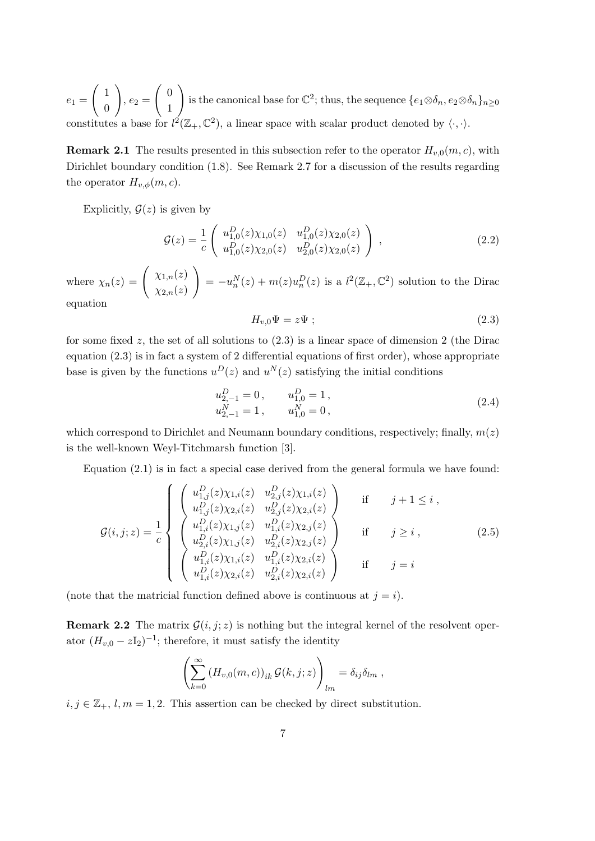$e_1 =$  $\begin{pmatrix} 1 \end{pmatrix}$ 0  $\setminus$  $, e_2 =$  $\int 0$ 1  $\setminus$ is the canonical base for  $\mathbb{C}^2$ ; thus, the sequence  $\{e_1 \otimes \delta_n, e_2 \otimes \delta_n\}_{n \geq 0}$ constitutes a base for  $l^2(\mathbb{Z}_+,\mathbb{C}^2)$ , a linear space with scalar product denoted by  $\langle \cdot, \cdot \rangle$ .

**Remark 2.1** The results presented in this subsection refer to the operator  $H_{v,0}(m, c)$ , with Dirichlet boundary condition (1.8). See Remark 2.7 for a discussion of the results regarding the operator  $H_{v,\phi}(m,c)$ .

Explicitly,  $\mathcal{G}(z)$  is given by

$$
\mathcal{G}(z) = \frac{1}{c} \begin{pmatrix} u_{1,0}^D(z) \chi_{1,0}(z) & u_{1,0}^D(z) \chi_{2,0}(z) \\ u_{1,0}^D(z) \chi_{2,0}(z) & u_{2,0}^D(z) \chi_{2,0}(z) \end{pmatrix},
$$
\n(2.2)

where  $\chi_n(z) = \begin{pmatrix} \chi_{1,n}(z) & \chi_{2,n}(z) & \chi_{2,n}(z) \end{pmatrix}$  $\chi_{2,n}(z)$  $\setminus$  $= -u_n^N(z) + m(z)u_n^D(z)$  is a  $l^2(\mathbb{Z}_+, \mathbb{C}^2)$  solution to the Dirac

equation

$$
H_{v,0}\Psi = z\Psi ;\t\t(2.3)
$$

for some fixed z, the set of all solutions to  $(2.3)$  is a linear space of dimension 2 (the Dirac equation  $(2.3)$  is in fact a system of 2 differential equations of first order), whose appropriate base is given by the functions  $u^D(z)$  and  $u^N(z)$  satisfying the initial conditions

$$
u_{2,-1}^D = 0, \t u_{1,0}^D = 1, u_{2,-1}^N = 1, \t u_{1,0}^N = 0,
$$
\t(2.4)

which correspond to Dirichlet and Neumann boundary conditions, respectively; finally,  $m(z)$ is the well-known Weyl-Titchmarsh function [3].

Equation (2.1) is in fact a special case derived from the general formula we have found:

$$
\mathcal{G}(i,j;z) = \frac{1}{c} \begin{cases} \begin{pmatrix} u_{1,j}^{D}(z)\chi_{1,i}(z) & u_{2,j}^{D}(z)\chi_{1,i}(z) \\ u_{1,j}^{D}(z)\chi_{2,i}(z) & u_{2,j}^{D}(z)\chi_{2,i}(z) \\ u_{1,i}^{D}(z)\chi_{1,j}(z) & u_{1,i}^{D}(z)\chi_{2,j}(z) \\ u_{2,i}^{D}(z)\chi_{1,j}(z) & u_{2,i}^{D}(z)\chi_{2,j}(z) \\ u_{1,i}^{D}(z)\chi_{1,i}(z) & u_{1,i}^{D}(z)\chi_{2,i}(z) \\ u_{1,i}^{D}(z)\chi_{2,i}(z) & u_{2,i}^{D}(z)\chi_{2,i}(z) \end{pmatrix} & \text{if} \quad j = i \end{cases}
$$
\n(2.5)

(note that the matricial function defined above is continuous at  $j = i$ ).

**Remark 2.2** The matrix  $\mathcal{G}(i, j; z)$  is nothing but the integral kernel of the resolvent operator  $(H_{v,0} - zI_2)^{-1}$ ; therefore, it must satisfy the identity

$$
\left(\sum_{k=0}^{\infty} (H_{v,0}(m,c))_{ik} \mathcal{G}(k,j;z)\right)_{lm} = \delta_{ij}\delta_{lm},
$$

 $i, j \in \mathbb{Z}_+, l, m = 1, 2$ . This assertion can be checked by direct substitution.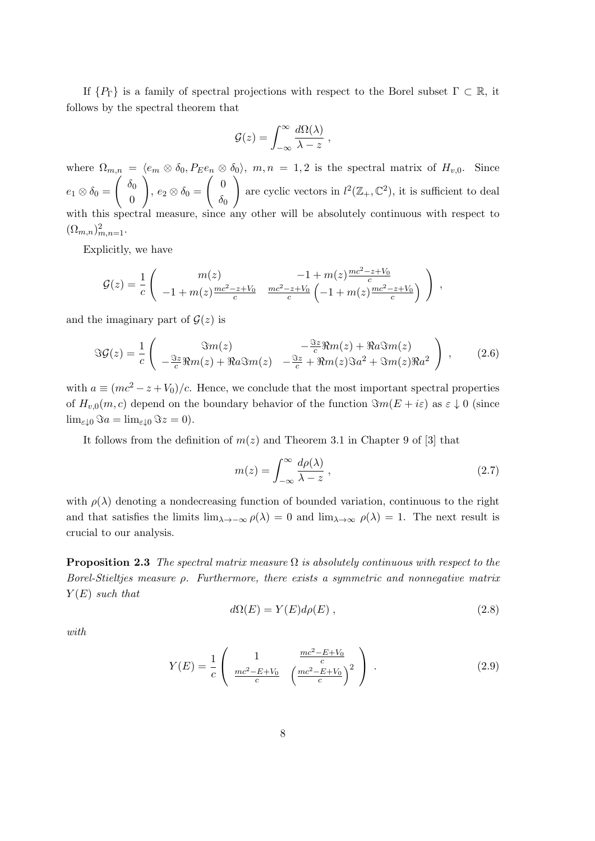If  $\{P_{\Gamma}\}\$ is a family of spectral projections with respect to the Borel subset  $\Gamma \subset \mathbb{R}$ , it follows by the spectral theorem that

$$
\mathcal{G}(z) = \int_{-\infty}^{\infty} \frac{d\Omega(\lambda)}{\lambda - z} ,
$$

where  $\Omega_{m,n} = \langle e_m \otimes \delta_0, P_E e_n \otimes \delta_0 \rangle$ ,  $m, n = 1, 2$  is the spectral matrix of  $H_{v,0}$ . Since  $e_1\otimes \delta_0 =$  $\int \delta_0$  $\overline{0}$  $\setminus$ ,  $e_2 \otimes \delta_0 =$  $\begin{pmatrix} 0 \\ 0 \end{pmatrix}$  $\delta_0$  $\setminus$ are cyclic vectors in  $l^2(\mathbb{Z}_+,\mathbb{C}^2)$ , it is sufficient to deal with this spectral measure, since any other will be absolutely continuous with respect to  $({\Omega_{m,n}})_{m,n=1}^2$ .

Explicitly, we have

$$
\mathcal{G}(z) = \frac{1}{c} \left( \begin{array}{cc} m(z) & -1 + m(z) \frac{mc^2 - z + V_0}{c} \\ -1 + m(z) \frac{mc^2 - z + V_0}{c} & \frac{mc^2 - z + V_0}{c} \left( -1 + m(z) \frac{mc^2 - z + V_0}{c} \right) \end{array} \right) \,,
$$

and the imaginary part of  $\mathcal{G}(z)$  is

$$
\Im \mathcal{G}(z) = \frac{1}{c} \left( \begin{array}{cc} \Im m(z) & -\frac{\Im z}{c} \Re m(z) + \Re a \Im m(z) \\ -\frac{\Im z}{c} \Re m(z) + \Re a \Im m(z) & -\frac{\Im z}{c} + \Re m(z) \Im a^2 + \Im m(z) \Re a^2 \end{array} \right) , \tag{2.6}
$$

with  $a \equiv (mc^2 - z + V_0)/c$ . Hence, we conclude that the most important spectral properties of  $H_{v,0}(m, c)$  depend on the boundary behavior of the function  $\Im m(E + i\varepsilon)$  as  $\varepsilon \downarrow 0$  (since  $\lim_{\varepsilon \downarrow 0} \Im a = \lim_{\varepsilon \downarrow 0} \Im z = 0.$ 

It follows from the definition of  $m(z)$  and Theorem 3.1 in Chapter 9 of [3] that

$$
m(z) = \int_{-\infty}^{\infty} \frac{d\rho(\lambda)}{\lambda - z},
$$
\n(2.7)

with  $\rho(\lambda)$  denoting a nondecreasing function of bounded variation, continuous to the right and that satisfies the limits  $\lim_{\lambda \to -\infty} \rho(\lambda) = 0$  and  $\lim_{\lambda \to \infty} \rho(\lambda) = 1$ . The next result is crucial to our analysis.

**Proposition 2.3** The spectral matrix measure  $\Omega$  is absolutely continuous with respect to the Borel-Stieltjes measure  $\rho$ . Furthermore, there exists a symmetric and nonnegative matrix  $Y(E)$  such that

$$
d\Omega(E) = Y(E)d\rho(E) , \qquad (2.8)
$$

with

$$
Y(E) = \frac{1}{c} \left( \frac{1}{\frac{mc^2 - E + V_0}{c}} \left( \frac{\frac{mc^2 - E + V_0}{c}}{\left(\frac{mc^2 - E + V_0}{c}\right)^2} \right) \right). \tag{2.9}
$$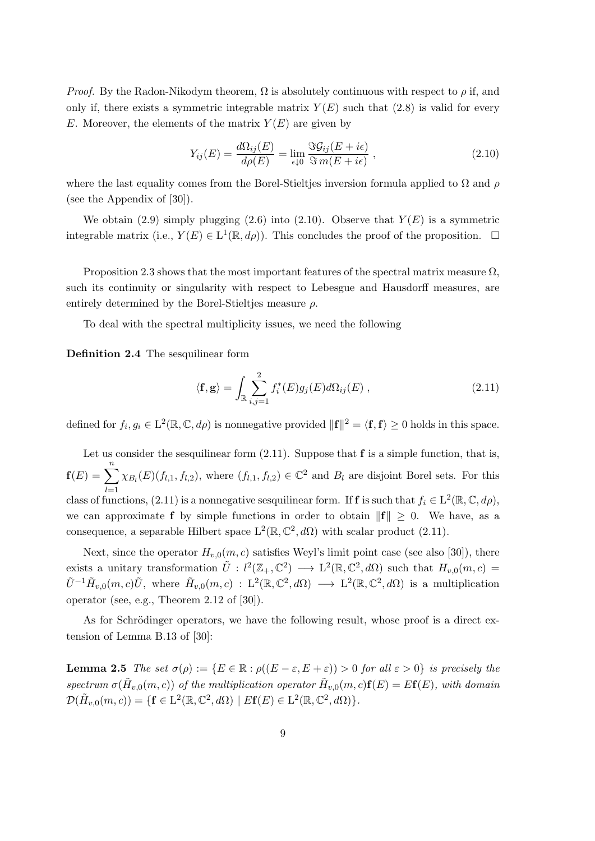*Proof.* By the Radon-Nikodym theorem,  $\Omega$  is absolutely continuous with respect to  $\rho$  if, and only if, there exists a symmetric integrable matrix  $Y(E)$  such that (2.8) is valid for every E. Moreover, the elements of the matrix  $Y(E)$  are given by

$$
Y_{ij}(E) = \frac{d\Omega_{ij}(E)}{d\rho(E)} = \lim_{\epsilon \downarrow 0} \frac{\Im \mathcal{G}_{ij}(E + i\epsilon)}{\Im m(E + i\epsilon)} , \qquad (2.10)
$$

where the last equality comes from the Borel-Stieltjes inversion formula applied to  $\Omega$  and  $\rho$ (see the Appendix of [30]).

We obtain (2.9) simply plugging (2.6) into (2.10). Observe that  $Y(E)$  is a symmetric integrable matrix (i.e.,  $Y(E) \in L^1(\mathbb{R}, d\rho)$ ). This concludes the proof of the proposition.  $\Box$ 

Proposition 2.3 shows that the most important features of the spectral matrix measure  $\Omega$ , such its continuity or singularity with respect to Lebesgue and Hausdorff measures, are entirely determined by the Borel-Stieltjes measure  $\rho$ .

To deal with the spectral multiplicity issues, we need the following

Definition 2.4 The sesquilinear form

$$
\langle \mathbf{f}, \mathbf{g} \rangle = \int_{\mathbb{R}} \sum_{i,j=1}^{2} f_i^*(E) g_j(E) d\Omega_{ij}(E) , \qquad (2.11)
$$

defined for  $f_i, g_i \in L^2(\mathbb{R}, \mathbb{C}, d\rho)$  is nonnegative provided  $\|\mathbf{f}\|^2 = \langle \mathbf{f}, \mathbf{f} \rangle \geq 0$  holds in this space.

Let us consider the sesquilinear form  $(2.11)$ . Suppose that **f** is a simple function, that is,  $f(E) = \sum_{l=1}^{n} \chi_{B_l}(E)(f_{l,1}, f_{l,2}),$  where  $(f_{l,1}, f_{l,2}) \in \mathbb{C}^2$  and  $B_l$  are disjoint Borel sets. For this  $_{l=1}$ class of functions, (2.11) is a nonnegative sesquilinear form. If **f** is such that  $f_i \in L^2(\mathbb{R}, \mathbb{C}, d\rho)$ , we can approximate f by simple functions in order to obtain  $\|f\| \geq 0$ . We have, as a consequence, a separable Hilbert space  $L^2(\mathbb{R}, \mathbb{C}^2, d\Omega)$  with scalar product (2.11).

Next, since the operator  $H_{v,0}(m, c)$  satisfies Weyl's limit point case (see also [30]), there exists a unitary transformation  $\tilde{U}: l^2(\mathbb{Z}_+,\mathbb{C}^2) \longrightarrow L^2(\mathbb{R},\mathbb{C}^2,d\Omega)$  such that  $H_{v,0}(m,c)$  $\tilde{U}^{-1} \tilde{H}_{v,0}(m,c) \tilde{U}$ , where  $\tilde{H}_{v,0}(m,c) : L^2(\mathbb{R}, \mathbb{C}^2, d\Omega) \longrightarrow L^2(\mathbb{R}, \mathbb{C}^2, d\Omega)$  is a multiplication operator (see, e.g., Theorem 2.12 of [30]).

As for Schrödinger operators, we have the following result, whose proof is a direct extension of Lemma B.13 of [30]:

**Lemma 2.5** The set  $\sigma(\rho) := \{E \in \mathbb{R} : \rho((E - \varepsilon, E + \varepsilon)) > 0 \text{ for all } \varepsilon > 0\}$  is precisely the spectrum  $\sigma(\tilde{H}_{v,0}(m,c))$  of the multiplication operator  $\tilde{H}_{v,0}(m,c)\mathbf{f}(E) = E\mathbf{f}(E)$ , with domain  $\mathcal{D}(\tilde{H}_{v,0}(m,c)) = \{ \mathbf{f} \in \mathrm{L}^2(\mathbb{R}, \mathbb{C}^2, d\Omega) \mid E\mathbf{f}(E) \in \mathrm{L}^2(\mathbb{R}, \mathbb{C}^2, d\Omega) \}.$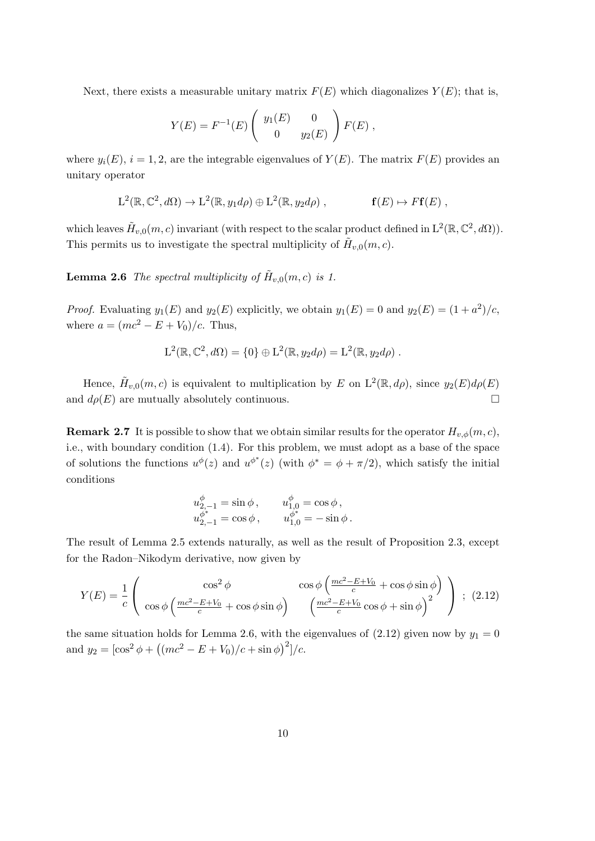Next, there exists a measurable unitary matrix  $F(E)$  which diagonalizes  $Y(E)$ ; that is,

$$
Y(E) = F^{-1}(E) \begin{pmatrix} y_1(E) & 0 \ 0 & y_2(E) \end{pmatrix} F(E) ,
$$

where  $y_i(E)$ ,  $i = 1, 2$ , are the integrable eigenvalues of  $Y(E)$ . The matrix  $F(E)$  provides an unitary operator

$$
L^{2}(\mathbb{R}, \mathbb{C}^{2}, d\Omega) \to L^{2}(\mathbb{R}, y_{1}d\rho) \oplus L^{2}(\mathbb{R}, y_{2}d\rho) , \qquad \mathbf{f}(E) \mapsto F\mathbf{f}(E) ,
$$

which leaves  $\tilde{H}_{v,0}(m,c)$  invariant (with respect to the scalar product defined in  $\mathrm{L}^2(\mathbb{R},\mathbb{C}^2,d\Omega)$ ). This permits us to investigate the spectral multiplicity of  $\tilde{H}_{v,0}(m,c)$ .

**Lemma 2.6** The spectral multiplicity of  $\tilde{H}_{v,0}(m,c)$  is 1.

*Proof.* Evaluating  $y_1(E)$  and  $y_2(E)$  explicitly, we obtain  $y_1(E) = 0$  and  $y_2(E) = (1 + a^2)/c$ , where  $a = (mc^2 - E + V_0)/c$ . Thus,

$$
L^{2}(\mathbb{R}, \mathbb{C}^{2}, d\Omega) = \{0\} \oplus L^{2}(\mathbb{R}, y_{2}d\rho) = L^{2}(\mathbb{R}, y_{2}d\rho) .
$$

Hence,  $\tilde{H}_{v,0}(m,c)$  is equivalent to multiplication by E on  $L^2(\mathbb{R}, d\rho)$ , since  $y_2(E)d\rho(E)$ and  $d\rho(E)$  are mutually absolutely continuous.

**Remark 2.7** It is possible to show that we obtain similar results for the operator  $H_{v,\phi}(m, c)$ , i.e., with boundary condition (1.4). For this problem, we must adopt as a base of the space of solutions the functions  $u^{\phi}(z)$  and  $u^{\phi^*}(z)$  (with  $\phi^* = \phi + \pi/2$ ), which satisfy the initial conditions

$$
u_{2,-1}^{\phi} = \sin \phi, \t u_{1,0}^{\phi} = \cos \phi,
$$
  

$$
u_{2,-1}^{\phi^*} = \cos \phi, \t u_{1,0}^{\phi^*} = -\sin \phi.
$$

The result of Lemma 2.5 extends naturally, as well as the result of Proposition 2.3, except for the Radon–Nikodym derivative, now given by

$$
Y(E) = \frac{1}{c} \begin{pmatrix} \cos^2 \phi & \cos \phi \left( \frac{mc^2 - E + V_0}{c} + \cos \phi \sin \phi \right) \\ \cos \phi \left( \frac{mc^2 - E + V_0}{c} + \cos \phi \sin \phi \right) & \left( \frac{mc^2 - E + V_0}{c} \cos \phi + \sin \phi \right)^2 \end{pmatrix} ; (2.12)
$$

the same situation holds for Lemma 2.6, with the eigenvalues of (2.12) given now by  $y_1 = 0$ and  $y_2 = [\cos^2 \phi + ((mc^2 - E + V_0)/c + \sin \phi)^2]/c$ .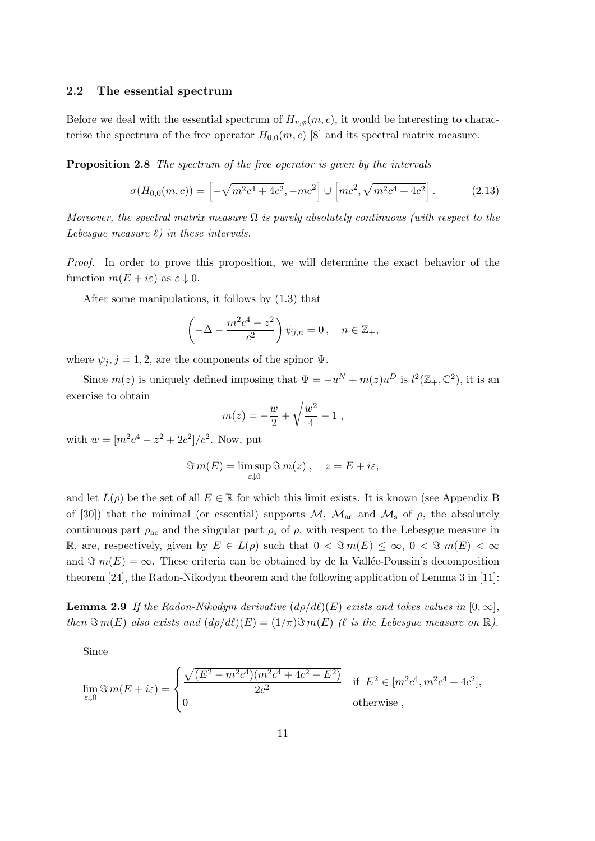#### 2.2 The essential spectrum

Before we deal with the essential spectrum of  $H_{v,\phi}(m, c)$ , it would be interesting to characterize the spectrum of the free operator  $H_{0,0}(m, c)$  [8] and its spectral matrix measure.

Proposition 2.8 The spectrum of the free operator is given by the intervals

$$
\sigma(H_{0,0}(m,c)) = \left[ -\sqrt{m^2c^4 + 4c^2}, -mc^2 \right] \cup \left[ mc^2, \sqrt{m^2c^4 + 4c^2} \right].
$$
 (2.13)

Moreover, the spectral matrix measure  $\Omega$  is purely absolutely continuous (with respect to the Lebesque measure  $\ell$ ) in these intervals.

Proof. In order to prove this proposition, we will determine the exact behavior of the function  $m(E + i\varepsilon)$  as  $\varepsilon \downarrow 0$ .

After some manipulations, it follows by (1.3) that

$$
\left(-\Delta - \frac{m^2c^4 - z^2}{c^2}\right)\psi_{j,n} = 0, \quad n \in \mathbb{Z}_+,
$$

where  $\psi_j$ ,  $j = 1, 2$ , are the components of the spinor  $\Psi$ .

Since  $m(z)$  is uniquely defined imposing that  $\Psi = -u^N + m(z)u^D$  is  $l^2(\mathbb{Z}_+,\mathbb{C}^2)$ , it is an exercise to obtain

$$
m(z) = -\frac{w}{2} + \sqrt{\frac{w^2}{4} - 1} ,
$$

with  $w = [m^2c^4 - z^2 + 2c^2]/c^2$ . Now, put

$$
\Im m(E) = \limsup_{\varepsilon \downarrow 0} \Im m(z) , \quad z = E + i\varepsilon,
$$

and let  $L(\rho)$  be the set of all  $E \in \mathbb{R}$  for which this limit exists. It is known (see Appendix B of [30]) that the minimal (or essential) supports  $\mathcal{M}$ ,  $\mathcal{M}_{ac}$  and  $\mathcal{M}_{s}$  of  $\rho$ , the absolutely continuous part  $\rho_{ac}$  and the singular part  $\rho_s$  of  $\rho$ , with respect to the Lebesgue measure in R, are, respectively, given by  $E \in L(\rho)$  such that  $0 < \Im m(E) \leq \infty$ ,  $0 < \Im m(E) < \infty$ and  $\Im$   $m(E) = \infty$ . These criteria can be obtained by de la Vallée-Poussin's decomposition theorem [24], the Radon-Nikodym theorem and the following application of Lemma 3 in [11]:

**Lemma 2.9** If the Radon-Nikodym derivative  $(d\rho/d\ell)(E)$  exists and takes values in  $[0, \infty]$ , then  $\Im m(E)$  also exists and  $(d\rho/d\ell)(E) = (1/\pi)\Im m(E)$  ( $\ell$  is the Lebesgue measure on R).

Since

$$
\lim_{\varepsilon \downarrow 0} \Im \, m(E + i\varepsilon) = \begin{cases} \frac{\sqrt{(E^2 - m^2 c^4)(m^2 c^4 + 4c^2 - E^2)}}{2c^2} & \text{if } E^2 \in [m^2 c^4, m^2 c^4 + 4c^2], \\ 0 & \text{otherwise} \end{cases}
$$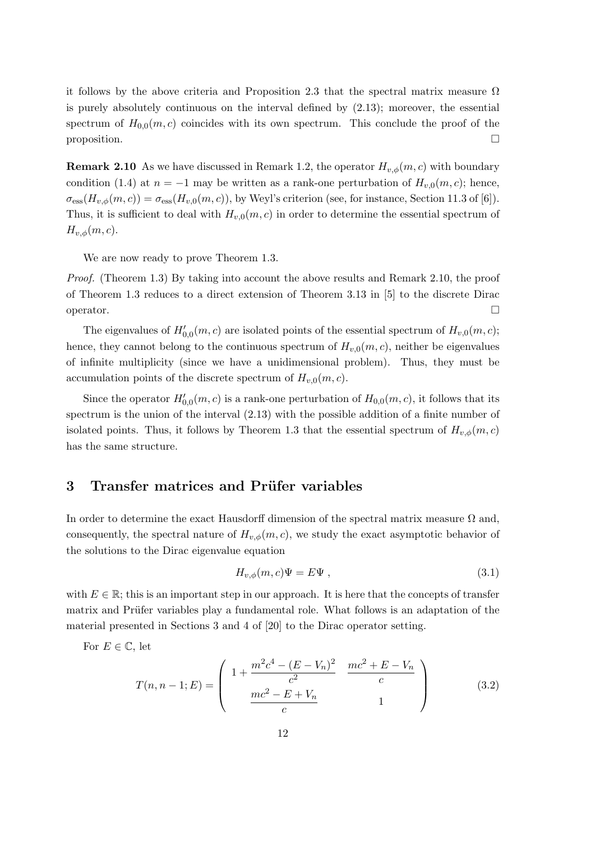it follows by the above criteria and Proposition 2.3 that the spectral matrix measure  $\Omega$ is purely absolutely continuous on the interval defined by (2.13); moreover, the essential spectrum of  $H_{0,0}(m, c)$  coincides with its own spectrum. This conclude the proof of the  $\Box$ 

**Remark 2.10** As we have discussed in Remark 1.2, the operator  $H_{v,\phi}(m, c)$  with boundary condition (1.4) at  $n = -1$  may be written as a rank-one perturbation of  $H_{v,0}(m, c)$ ; hence,  $\sigma_{\rm ess}(H_{v,\phi}(m,c)) = \sigma_{\rm ess}(H_{v,0}(m,c))$ , by Weyl's criterion (see, for instance, Section 11.3 of [6]). Thus, it is sufficient to deal with  $H_{v,0}(m, c)$  in order to determine the essential spectrum of  $H_{v,\phi}(m,c)$ .

We are now ready to prove Theorem 1.3.

Proof. (Theorem 1.3) By taking into account the above results and Remark 2.10, the proof of Theorem 1.3 reduces to a direct extension of Theorem 3.13 in [5] to the discrete Dirac  $\Box$ operator.

The eigenvalues of  $H'_{0,0}(m, c)$  are isolated points of the essential spectrum of  $H_{v,0}(m, c)$ ; hence, they cannot belong to the continuous spectrum of  $H_{v,0}(m, c)$ , neither be eigenvalues of infinite multiplicity (since we have a unidimensional problem). Thus, they must be accumulation points of the discrete spectrum of  $H_{v,0}(m, c)$ .

Since the operator  $H'_{0,0}(m, c)$  is a rank-one perturbation of  $H_{0,0}(m, c)$ , it follows that its spectrum is the union of the interval (2.13) with the possible addition of a finite number of isolated points. Thus, it follows by Theorem 1.3 that the essential spectrum of  $H_{v,\phi}(m,c)$ has the same structure.

## 3 Transfer matrices and Prüfer variables

In order to determine the exact Hausdorff dimension of the spectral matrix measure  $\Omega$  and, consequently, the spectral nature of  $H_{v,\phi}(m, c)$ , we study the exact asymptotic behavior of the solutions to the Dirac eigenvalue equation

$$
H_{v,\phi}(m,c)\Psi = E\Psi , \qquad (3.1)
$$

with  $E \in \mathbb{R}$ ; this is an important step in our approach. It is here that the concepts of transfer matrix and Prüfer variables play a fundamental role. What follows is an adaptation of the material presented in Sections 3 and 4 of [20] to the Dirac operator setting.

For 
$$
E \in \mathbb{C}
$$
, let  
\n
$$
T(n, n-1; E) = \begin{pmatrix} 1 + \frac{m^2 c^4 - (E - V_n)^2}{c^2} & \frac{mc^2 + E - V_n}{c} \\ \frac{mc^2 - E + V_n}{c} & 1 \end{pmatrix}
$$
\n(3.2)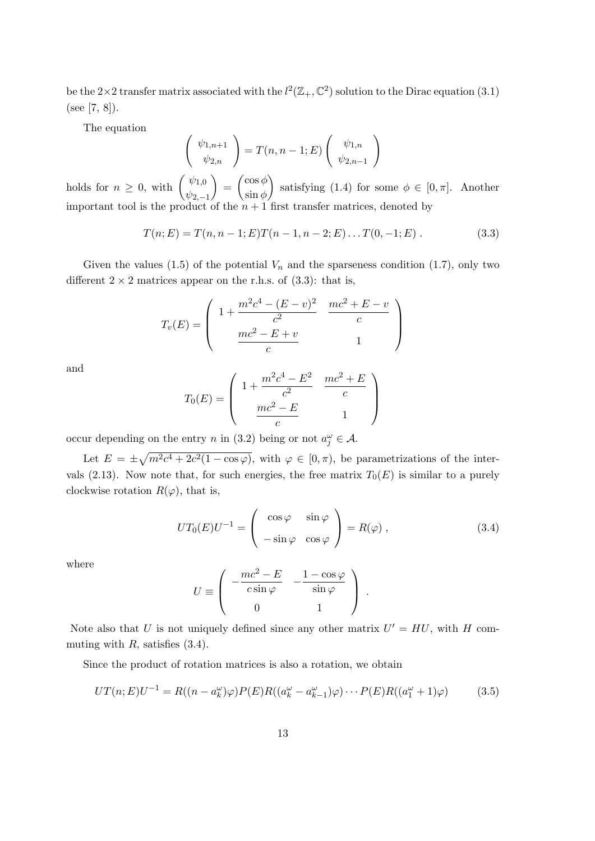be the 2×2 transfer matrix associated with the  $l^2(\mathbb{Z}_+,\mathbb{C}^2)$  solution to the Dirac equation (3.1) (see [7, 8]).

The equation

$$
\begin{pmatrix} \psi_{1,n+1} \\ \psi_{2,n} \end{pmatrix} = T(n, n-1; E) \begin{pmatrix} \psi_{1,n} \\ \psi_{2,n-1} \end{pmatrix}
$$

holds for  $n \geq 0$ , with  $\left(\begin{array}{c} \psi_{1,0} \\ h \end{array}\right)$  $\psi_{2,-1}$  $=\int \frac{\cos \phi}{\cdot}$  $\sin \phi$ satisfying (1.4) for some  $\phi \in [0, \pi]$ . Another important tool is the product of the  $n+1$  first transfer matrices, denoted by

$$
T(n; E) = T(n, n-1; E)T(n-1, n-2; E)...T(0, -1; E).
$$
\n(3.3)

Given the values (1.5) of the potential  $V_n$  and the sparseness condition (1.7), only two different  $2 \times 2$  matrices appear on the r.h.s. of (3.3): that is,

$$
T_v(E) = \begin{pmatrix} 1 + \frac{m^2c^4 - (E - v)^2}{c^2} & \frac{mc^2 + E - v}{c} \\ \frac{mc^2 - E + v}{c} & 1 \end{pmatrix}
$$

and

$$
T_0(E) = \begin{pmatrix} 1 + \frac{m^2c^4 - E^2}{c^2} & \frac{mc^2 + E}{c} \\ \frac{mc^2 - E}{c} & 1 \end{pmatrix}
$$

occur depending on the entry *n* in (3.2) being or not  $a_j^{\omega} \in \mathcal{A}$ .

Let  $E = \pm \sqrt{m^2c^4 + 2c^2(1 - \cos\varphi)}$ , with  $\varphi \in [0, \pi)$ , be parametrizations of the intervals (2.13). Now note that, for such energies, the free matrix  $T_0(E)$  is similar to a purely clockwise rotation  $R(\varphi)$ , that is,

$$
UT_0(E)U^{-1} = \begin{pmatrix} \cos\varphi & \sin\varphi \\ -\sin\varphi & \cos\varphi \end{pmatrix} = R(\varphi) , \qquad (3.4)
$$

where

$$
U \equiv \left( \begin{array}{cc} -\frac{mc^2 - E}{c \sin \varphi} & -\frac{1 - \cos \varphi}{\sin \varphi} \\ 0 & 1 \end{array} \right) .
$$

Note also that U is not uniquely defined since any other matrix  $U' = HU$ , with H commuting with  $R$ , satisfies  $(3.4)$ .

Since the product of rotation matrices is also a rotation, we obtain

$$
UT(n;E)U^{-1} = R((n - a_k^{\omega})\varphi)P(E)R((a_k^{\omega} - a_{k-1}^{\omega})\varphi) \cdots P(E)R((a_1^{\omega} + 1)\varphi)
$$
(3.5)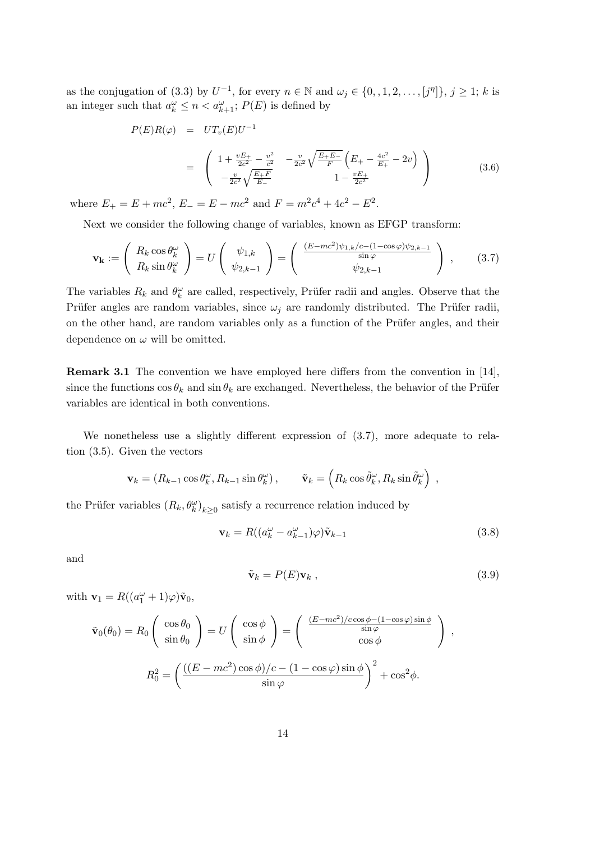as the conjugation of (3.3) by  $U^{-1}$ , for every  $n \in \mathbb{N}$  and  $\omega_j \in \{0, 1, 2, \ldots, [j^n]\}, j \geq 1$ ; k is an integer such that  $a_k^{\omega} \leq n < a_{k+1}^{\omega}$ ;  $P(E)$  is defined by

$$
P(E)R(\varphi) = UT_v(E)U^{-1}
$$
  
= 
$$
\begin{pmatrix} 1 + \frac{vE_{+}}{2c^{2}} - \frac{v^{2}}{c^{2}} & -\frac{v}{2c^{2}}\sqrt{\frac{E_{+}E_{-}}{F}}\left(E_{+} - \frac{4c^{2}}{E_{+}} - 2v\right) \\ -\frac{v}{2c^{2}}\sqrt{\frac{E_{+}F}{E_{-}}} & 1 - \frac{vE_{+}}{2c^{2}} \end{pmatrix}
$$
(3.6)

where  $E_+ = E + mc^2$ ,  $E_- = E - mc^2$  and  $F = m^2c^4 + 4c^2 - E^2$ .

Next we consider the following change of variables, known as EFGP transform:

$$
\mathbf{v}_{\mathbf{k}} := \begin{pmatrix} R_k \cos \theta_k^{\omega} \\ R_k \sin \theta_k^{\omega} \end{pmatrix} = U \begin{pmatrix} \psi_{1,k} \\ \psi_{2,k-1} \end{pmatrix} = \begin{pmatrix} \frac{(E - mc^2)\psi_{1,k}/c - (1 - \cos \varphi)\psi_{2,k-1}}{\sin \varphi} \\ \psi_{2,k-1} \end{pmatrix}, \quad (3.7)
$$

The variables  $R_k$  and  $\theta_k^{\omega}$  are called, respectively, Prüfer radii and angles. Observe that the Prüfer angles are random variables, since  $\omega_i$  are randomly distributed. The Prüfer radii, on the other hand, are random variables only as a function of the Prüfer angles, and their dependence on  $\omega$  will be omitted.

Remark 3.1 The convention we have employed here differs from the convention in [14], since the functions  $\cos \theta_k$  and  $\sin \theta_k$  are exchanged. Nevertheless, the behavior of the Prüfer variables are identical in both conventions.

We nonetheless use a slightly different expression of (3.7), more adequate to relation (3.5). Given the vectors

$$
\mathbf{v}_k = (R_{k-1}\cos\theta_k^{\omega}, R_{k-1}\sin\theta_k^{\omega}), \qquad \tilde{\mathbf{v}}_k = (R_k\cos\tilde{\theta}_k^{\omega}, R_k\sin\tilde{\theta}_k^{\omega}),
$$

the Prüfer variables  $(R_k, \theta_k^{\omega})_{k \geq 0}$  satisfy a recurrence relation induced by

$$
\mathbf{v}_k = R((a_k^{\omega} - a_{k-1}^{\omega})\varphi)\tilde{\mathbf{v}}_{k-1}
$$
\n(3.8)

and

$$
\tilde{\mathbf{v}}_k = P(E)\mathbf{v}_k \,,\tag{3.9}
$$

with  $\mathbf{v}_1 = R((a_1^{\omega} + 1)\varphi)\tilde{\mathbf{v}}_0,$ 

$$
\tilde{\mathbf{v}}_0(\theta_0) = R_0 \begin{pmatrix} \cos \theta_0 \\ \sin \theta_0 \end{pmatrix} = U \begin{pmatrix} \cos \phi \\ \sin \phi \end{pmatrix} = \begin{pmatrix} \frac{(E - mc^2)/c \cos \phi - (1 - \cos \varphi) \sin \phi}{\sin \varphi} \\ \cos \phi \end{pmatrix} ,
$$

$$
R_0^2 = \left( \frac{((E - mc^2) \cos \phi)/c - (1 - \cos \varphi) \sin \phi}{\sin \varphi} \right)^2 + \cos^2 \phi.
$$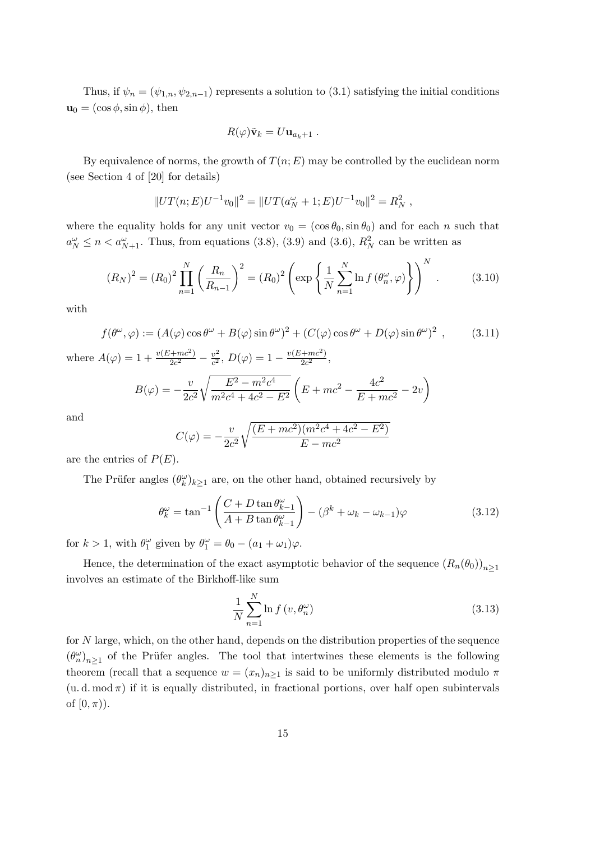Thus, if  $\psi_n = (\psi_{1,n}, \psi_{2,n-1})$  represents a solution to (3.1) satisfying the initial conditions  $\mathbf{u}_0 = (\cos \phi, \sin \phi), \text{ then}$ 

$$
R(\varphi)\tilde{\mathbf{v}}_k = U\mathbf{u}_{a_k+1} .
$$

By equivalence of norms, the growth of  $T(n; E)$  may be controlled by the euclidean norm (see Section 4 of [20] for details)

$$
||UT(n;E)U^{-1}v_0||^2 = ||UT(a_N^{\omega} + 1;E)U^{-1}v_0||^2 = R_N^2,
$$

where the equality holds for any unit vector  $v_0 = (\cos \theta_0, \sin \theta_0)$  and for each n such that  $a_N^{\omega} \le n < a_{N+1}^{\omega}$ . Thus, from equations (3.8), (3.9) and (3.6),  $R_N^2$  can be written as

$$
(R_N)^2 = (R_0)^2 \prod_{n=1}^N \left(\frac{R_n}{R_{n-1}}\right)^2 = (R_0)^2 \left(\exp\left\{\frac{1}{N} \sum_{n=1}^N \ln f(\theta_n^{\omega}, \varphi)\right\}\right)^N.
$$
 (3.10)

with

$$
f(\theta^{\omega}, \varphi) := (A(\varphi)\cos\theta^{\omega} + B(\varphi)\sin\theta^{\omega})^2 + (C(\varphi)\cos\theta^{\omega} + D(\varphi)\sin\theta^{\omega})^2 , \qquad (3.11)
$$

where  $A(\varphi) = 1 + \frac{v(E + mc^2)}{2c^2}$  $\frac{c^2 + mc^2}{2c^2} - \frac{v^2}{c^2}$  $\frac{v^2}{c^2}$ ,  $D(\varphi) = 1 - \frac{v(E + mc^2)}{2c^2}$  $\frac{(+mc^{-})}{2c^{2}},$ 

$$
B(\varphi) = -\frac{v}{2c^2} \sqrt{\frac{E^2 - m^2 c^4}{m^2 c^4 + 4c^2 - E^2}} \left( E + mc^2 - \frac{4c^2}{E + mc^2} - 2v \right)
$$

and

$$
C(\varphi) = -\frac{v}{2c^2} \sqrt{\frac{(E + mc^2)(m^2c^4 + 4c^2 - E^2)}{E - mc^2}}
$$

are the entries of  $P(E)$ .

The Prüfer angles  $(\theta_k^{\omega})_{k\geq 1}$  are, on the other hand, obtained recursively by

$$
\theta_k^{\omega} = \tan^{-1} \left( \frac{C + D \tan \theta_{k-1}^{\omega}}{A + B \tan \theta_{k-1}^{\omega}} \right) - (\beta^k + \omega_k - \omega_{k-1}) \varphi \tag{3.12}
$$

for  $k > 1$ , with  $\theta_1^{\omega}$  given by  $\theta_1^{\omega} = \theta_0 - (a_1 + \omega_1)\varphi$ .

Hence, the determination of the exact asymptotic behavior of the sequence  $(R_n(\theta_0))_{n>1}$ involves an estimate of the Birkhoff-like sum

$$
\frac{1}{N} \sum_{n=1}^{N} \ln f\left(v, \theta_n^{\omega}\right) \tag{3.13}
$$

for N large, which, on the other hand, depends on the distribution properties of the sequence  $(\theta_n^{\omega})_{n\geq 1}$  of the Prüfer angles. The tool that intertwines these elements is the following theorem (recall that a sequence  $w = (x_n)_{n>1}$  is said to be uniformly distributed modulo  $\pi$  $(u, d, mod \pi)$  if it is equally distributed, in fractional portions, over half open subintervals of  $[0, \pi)$ ).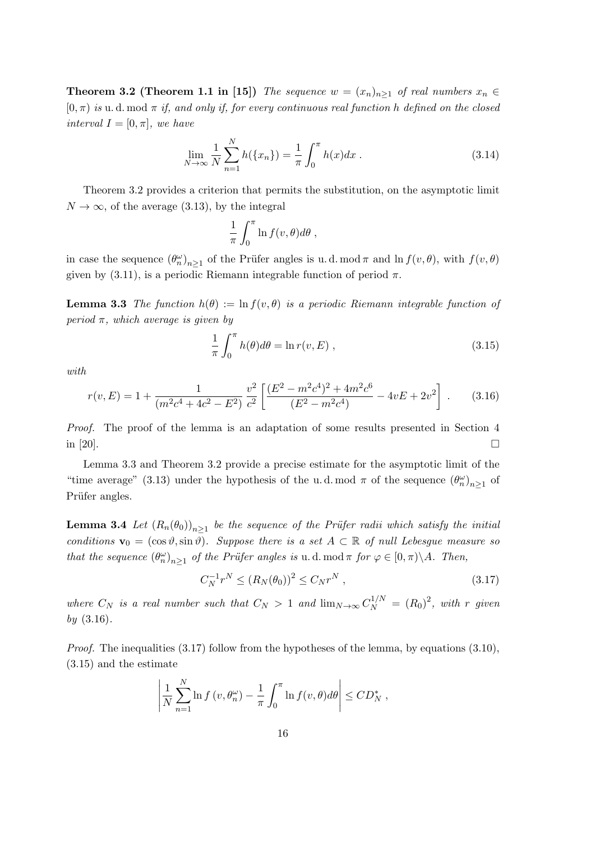**Theorem 3.2 (Theorem 1.1 in [15])** The sequence  $w = (x_n)_{n \geq 1}$  of real numbers  $x_n \in$  $[0, \pi)$  is u. d. mod  $\pi$  if, and only if, for every continuous real function h defined on the closed interval  $I = [0, \pi]$ , we have

$$
\lim_{N \to \infty} \frac{1}{N} \sum_{n=1}^{N} h(\{x_n\}) = \frac{1}{\pi} \int_0^{\pi} h(x) dx \,. \tag{3.14}
$$

Theorem 3.2 provides a criterion that permits the substitution, on the asymptotic limit  $N \to \infty$ , of the average (3.13), by the integral

$$
\frac{1}{\pi} \int_0^{\pi} \ln f(v,\theta) d\theta ,
$$

in case the sequence  $(\theta_n^{\omega})_{n\geq 1}$  of the Prüfer angles is u.d. mod  $\pi$  and  $\ln f(v,\theta)$ , with  $f(v,\theta)$ given by  $(3.11)$ , is a periodic Riemann integrable function of period  $\pi$ .

**Lemma 3.3** The function  $h(\theta) := \ln f(v, \theta)$  is a periodic Riemann integrable function of period  $\pi$ , which average is given by

$$
\frac{1}{\pi} \int_0^{\pi} h(\theta) d\theta = \ln r(v, E) , \qquad (3.15)
$$

with

$$
r(v, E) = 1 + \frac{1}{(m^2c^4 + 4c^2 - E^2)} \frac{v^2}{c^2} \left[ \frac{(E^2 - m^2c^4)^2 + 4m^2c^6}{(E^2 - m^2c^4)} - 4vE + 2v^2 \right].
$$
 (3.16)

Proof. The proof of the lemma is an adaptation of some results presented in Section 4 in [20].

Lemma 3.3 and Theorem 3.2 provide a precise estimate for the asymptotic limit of the "time average" (3.13) under the hypothesis of the u.d. mod  $\pi$  of the sequence  $(\theta_n^{\omega})_{n\geq 1}$  of Prüfer angles.

**Lemma 3.4** Let  $(R_n(\theta_0))_{n\geq 1}$  be the sequence of the Prüfer radii which satisfy the initial conditions  $\mathbf{v}_0 = (\cos \vartheta, \sin \vartheta)$ . Suppose there is a set  $A \subset \mathbb{R}$  of null Lebesgue measure so that the sequence  $(\theta_n^{\omega})_{n\geq 1}$  of the Prüfer angles is u.d. mod  $\pi$  for  $\varphi \in [0, \pi) \backslash A$ . Then,

$$
C_N^{-1}r^N \le (R_N(\theta_0))^2 \le C_Nr^N ,\qquad (3.17)
$$

where  $C_N$  is a real number such that  $C_N > 1$  and  $\lim_{N \to \infty} C_N^{1/N} = (R_0)^2$ , with r given by (3.16).

*Proof.* The inequalities  $(3.17)$  follow from the hypotheses of the lemma, by equations  $(3.10)$ , (3.15) and the estimate

$$
\left|\frac{1}{N}\sum_{n=1}^N \ln f\left(v,\theta_n^{\omega}\right)-\frac{1}{\pi}\int_0^{\pi} \ln f(v,\theta)d\theta\right| \leq CD_N^*,
$$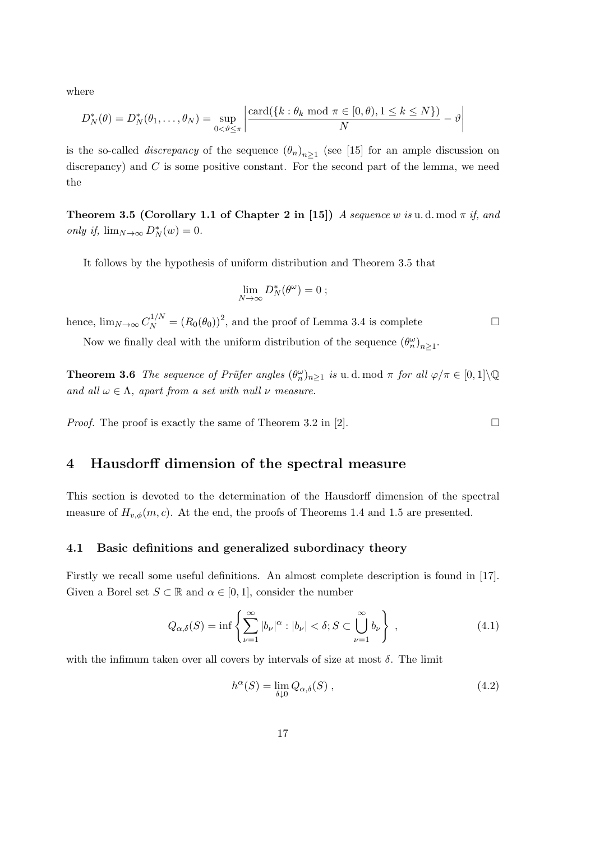where

$$
D_N^*(\theta) = D_N^*(\theta_1,\ldots,\theta_N) = \sup_{0<\theta\leq\pi} \left| \frac{\text{card}(\{k:\theta_k \text{ mod } \pi\in[0,\theta),1\leq k\leq N\})}{N} - \vartheta \right|
$$

is the so-called *discrepancy* of the sequence  $(\theta_n)_{n\geq 1}$  (see [15] for an ample discussion on discrepancy) and  $C$  is some positive constant. For the second part of the lemma, we need the

Theorem 3.5 (Corollary 1.1 of Chapter 2 in [15]) A sequence w is u.d. mod  $\pi$  if, and only if,  $\lim_{N\to\infty} D_N^*(w) = 0.$ 

It follows by the hypothesis of uniform distribution and Theorem 3.5 that

$$
\lim_{N\to\infty} D_N^*(\theta^\omega) = 0 ;
$$

hence,  $\lim_{N\to\infty} C_N^{1/N} = (R_0(\theta_0))^2$ , and the proof of Lemma 3.4 is complete  $\square$ 

Now we finally deal with the uniform distribution of the sequence  $(\theta_n^{\omega})_{n\geq 1}$ .

**Theorem 3.6** The sequence of Prüfer angles  $(\theta_n^{\omega})_{n\geq 1}$  is u.d. mod  $\pi$  for all  $\varphi/\pi \in [0,1]\setminus\mathbb{Q}$ and all  $\omega \in \Lambda$ , apart from a set with null  $\nu$  measure.

*Proof.* The proof is exactly the same of Theorem 3.2 in [2].  $\Box$ 

## 4 Hausdorff dimension of the spectral measure

This section is devoted to the determination of the Hausdorff dimension of the spectral measure of  $H_{v,\phi}(m,c)$ . At the end, the proofs of Theorems 1.4 and 1.5 are presented.

#### 4.1 Basic definitions and generalized subordinacy theory

Firstly we recall some useful definitions. An almost complete description is found in [17]. Given a Borel set  $S \subset \mathbb{R}$  and  $\alpha \in [0,1]$ , consider the number

$$
Q_{\alpha,\delta}(S) = \inf \left\{ \sum_{\nu=1}^{\infty} |b_{\nu}|^{\alpha} : |b_{\nu}| < \delta; S \subset \bigcup_{\nu=1}^{\infty} b_{\nu} \right\},\tag{4.1}
$$

with the infimum taken over all covers by intervals of size at most  $\delta$ . The limit

$$
h^{\alpha}(S) = \lim_{\delta \downarrow 0} Q_{\alpha,\delta}(S) , \qquad (4.2)
$$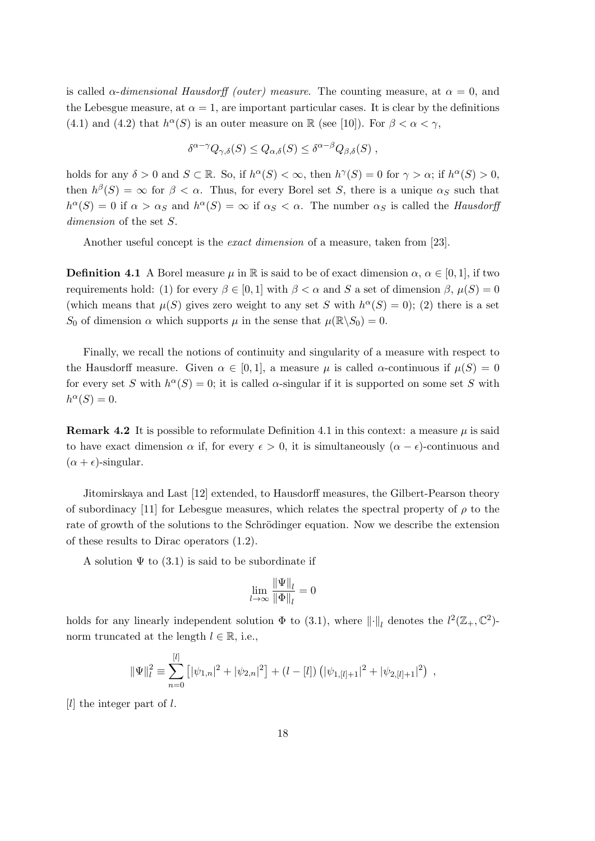is called  $\alpha$ -dimensional Hausdorff (outer) measure. The counting measure, at  $\alpha = 0$ , and the Lebesgue measure, at  $\alpha = 1$ , are important particular cases. It is clear by the definitions (4.1) and (4.2) that  $h^{\alpha}(S)$  is an outer measure on R (see [10]). For  $\beta < \alpha < \gamma$ ,

$$
\delta^{\alpha - \gamma} Q_{\gamma, \delta}(S) \leq Q_{\alpha, \delta}(S) \leq \delta^{\alpha - \beta} Q_{\beta, \delta}(S) ,
$$

holds for any  $\delta > 0$  and  $S \subset \mathbb{R}$ . So, if  $h^{\alpha}(S) < \infty$ , then  $h^{\gamma}(S) = 0$  for  $\gamma > \alpha$ ; if  $h^{\alpha}(S) > 0$ , then  $h^{\beta}(S) = \infty$  for  $\beta < \alpha$ . Thus, for every Borel set S, there is a unique  $\alpha_S$  such that  $h^{\alpha}(S) = 0$  if  $\alpha > \alpha_S$  and  $h^{\alpha}(S) = \infty$  if  $\alpha_S < \alpha$ . The number  $\alpha_S$  is called the *Hausdorff* dimension of the set  $S$ .

Another useful concept is the *exact dimension* of a measure, taken from [23].

**Definition 4.1** A Borel measure  $\mu$  in R is said to be of exact dimension  $\alpha$ ,  $\alpha \in [0,1]$ , if two requirements hold: (1) for every  $\beta \in [0, 1]$  with  $\beta < \alpha$  and S a set of dimension  $\beta$ ,  $\mu(S) = 0$ (which means that  $\mu(S)$  gives zero weight to any set S with  $h^{\alpha}(S) = 0$ ); (2) there is a set S<sub>0</sub> of dimension  $\alpha$  which supports  $\mu$  in the sense that  $\mu(\mathbb{R}\setminus S_0) = 0$ .

Finally, we recall the notions of continuity and singularity of a measure with respect to the Hausdorff measure. Given  $\alpha \in [0,1]$ , a measure  $\mu$  is called  $\alpha$ -continuous if  $\mu(S) = 0$ for every set S with  $h^{\alpha}(S) = 0$ ; it is called  $\alpha$ -singular if it is supported on some set S with  $h^{\alpha}(S) = 0.$ 

**Remark 4.2** It is possible to reformulate Definition 4.1 in this context: a measure  $\mu$  is said to have exact dimension  $\alpha$  if, for every  $\epsilon > 0$ , it is simultaneously  $(\alpha - \epsilon)$ -continuous and  $(\alpha + \epsilon)$ -singular.

Jitomirskaya and Last [12] extended, to Hausdorff measures, the Gilbert-Pearson theory of subordinacy [11] for Lebesgue measures, which relates the spectral property of  $\rho$  to the rate of growth of the solutions to the Schrödinger equation. Now we describe the extension of these results to Dirac operators (1.2).

A solution  $\Psi$  to (3.1) is said to be subordinate if

$$
\lim_{l \to \infty} \frac{\|\Psi\|_{l}}{\|\Phi\|_{l}} = 0
$$

holds for any linearly independent solution  $\Phi$  to (3.1), where  $\lVert \cdot \rVert_l$  denotes the  $l^2(\mathbb{Z}_+,\mathbb{C}^2)$ norm truncated at the length  $l \in \mathbb{R}$ , i.e.,

$$
\|\Psi\|_{l}^{2} \equiv \sum_{n=0}^{[l]} \left[ |\psi_{1,n}|^{2} + |\psi_{2,n}|^{2} \right] + (l - [l]) \left( |\psi_{1,[l]+1}|^{2} + |\psi_{2,[l]+1}|^{2} \right) ,
$$

[ $l$ ] the integer part of  $l$ .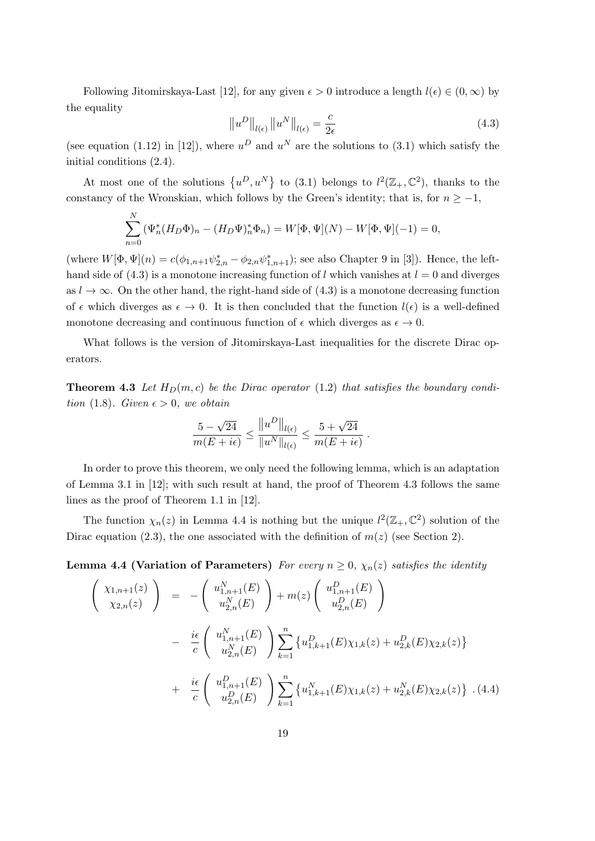Following Jitomirskaya-Last [12], for any given  $\epsilon > 0$  introduce a length  $l(\epsilon) \in (0,\infty)$  by the equality

$$
\left\|u^D\right\|_{l(\epsilon)}\left\|u^N\right\|_{l(\epsilon)} = \frac{c}{2\epsilon} \tag{4.3}
$$

(see equation (1.12) in [12]), where  $u^D$  and  $u^N$  are the solutions to (3.1) which satisfy the initial conditions (2.4).

At most one of the solutions  $\{u^D, u^N\}$  to (3.1) belongs to  $l^2(\mathbb{Z}_+,\mathbb{C}^2)$ , thanks to the constancy of the Wronskian, which follows by the Green's identity; that is, for  $n \ge -1$ ,

$$
\sum_{n=0}^{N} (\Psi_n^*(H_D \Phi)_n - (H_D \Psi)_n^* \Phi_n) = W[\Phi, \Psi](N) - W[\Phi, \Psi](-1) = 0,
$$

(where  $W[\Phi, \Psi](n) = c(\phi_{1,n+1}\psi_{2,n}^* - \phi_{2,n}\psi_{1,n+1}^*)$ ; see also Chapter 9 in [3]). Hence, the lefthand side of  $(4.3)$  is a monotone increasing function of l which vanishes at  $l = 0$  and diverges as  $l \to \infty$ . On the other hand, the right-hand side of (4.3) is a monotone decreasing function of  $\epsilon$  which diverges as  $\epsilon \to 0$ . It is then concluded that the function  $l(\epsilon)$  is a well-defined monotone decreasing and continuous function of  $\epsilon$  which diverges as  $\epsilon \to 0$ .

What follows is the version of Jitomirskaya-Last inequalities for the discrete Dirac operators.

**Theorem 4.3** Let  $H_D(m, c)$  be the Dirac operator (1.2) that satisfies the boundary condition (1.8). Given  $\epsilon > 0$ , we obtain

$$
\frac{5 - \sqrt{24}}{m(E + i\epsilon)} \le \frac{||u^D||_{l(\epsilon)}}{||u^N||_{l(\epsilon)}} \le \frac{5 + \sqrt{24}}{m(E + i\epsilon)}.
$$

In order to prove this theorem, we only need the following lemma, which is an adaptation of Lemma 3.1 in [12]; with such result at hand, the proof of Theorem 4.3 follows the same lines as the proof of Theorem 1.1 in [12].

The function  $\chi_n(z)$  in Lemma 4.4 is nothing but the unique  $l^2(\mathbb{Z}_+,\mathbb{C}^2)$  solution of the Dirac equation (2.3), the one associated with the definition of  $m(z)$  (see Section 2).

**Lemma 4.4 (Variation of Parameters)** For every  $n \geq 0$ ,  $\chi_n(z)$  satisfies the identity

$$
\begin{pmatrix}\n\chi_{1,n+1}(z) \\
\chi_{2,n}(z)\n\end{pmatrix} = -\begin{pmatrix}\nu_{1,n+1}^N(E) \\
u_{2,n}^N(E)\n\end{pmatrix} + m(z) \begin{pmatrix}\nu_{1,n+1}^D(E) \\
u_{2,n}^D(E)\n\end{pmatrix}
$$
\n
$$
- \frac{i\epsilon}{c} \begin{pmatrix}\nu_{1,n+1}^N(E) \\
u_{2,n}^N(E)\n\end{pmatrix} \sum_{k=1}^n \{u_{1,k+1}^D(E)\chi_{1,k}(z) + u_{2,k}^D(E)\chi_{2,k}(z)\}
$$
\n
$$
+ \frac{i\epsilon}{c} \begin{pmatrix}\nu_{1,n+1}^D(E) \\
u_{2,n}^D(E)\n\end{pmatrix} \sum_{k=1}^n \{u_{1,k+1}^N(E)\chi_{1,k}(z) + u_{2,k}^N(E)\chi_{2,k}(z)\} . (4.4)
$$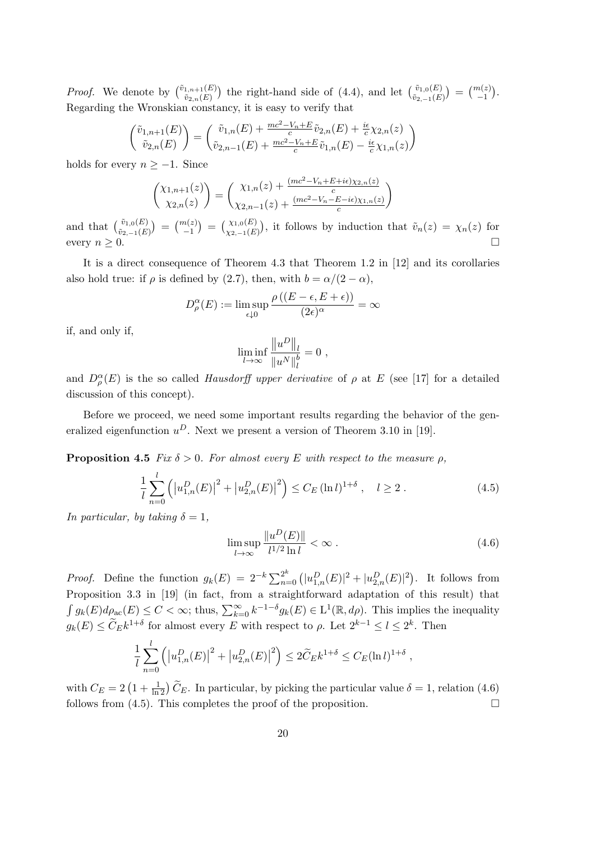*Proof.* We denote by  $\begin{pmatrix} \tilde{v}_{1,n+1}(E) \\ \tilde{v}_{2,n}(E) \end{pmatrix}$  the right-hand side of (4.4), and let  $\begin{pmatrix} \tilde{v}_{1,0}(E) \\ \tilde{v}_{2,-1}(E) \end{pmatrix} = \begin{pmatrix} m(z) \\ -1 \end{pmatrix}$ . Regarding the Wronskian constancy, it is easy to verify that

$$
\begin{pmatrix}\n\tilde{v}_{1,n+1}(E) \\
\tilde{v}_{2,n}(E)\n\end{pmatrix} = \begin{pmatrix}\n\tilde{v}_{1,n}(E) + \frac{mc^2 - V_n + E}{c}\tilde{v}_{2,n}(E) + \frac{i\epsilon}{c}\chi_{2,n}(z) \\
\tilde{v}_{2,n-1}(E) + \frac{mc^2 - V_n + E}{c}\tilde{v}_{1,n}(E) - \frac{i\epsilon}{c}\chi_{1,n}(z)\n\end{pmatrix}
$$

holds for every  $n \ge -1$ . Since

$$
\begin{pmatrix} \chi_{1,n+1}(z) \\ \chi_{2,n}(z) \end{pmatrix} = \begin{pmatrix} \chi_{1,n}(z) + \frac{(mc^2 - V_n + E + i\epsilon)\chi_{2,n}(z)}{c} \\ \chi_{2,n-1}(z) + \frac{(mc^2 - V_n - E - i\epsilon)\chi_{1,n}(z)}{c} \end{pmatrix}
$$

and that  $\binom{\tilde{v}_1,0(E)}{\tilde{v}_2,-1(E)} = \binom{m(z)}{-1} = \binom{\chi_1,0(E)}{\chi_2,-1(E)}$ , it follows by induction that  $\tilde{v}_n(z) = \chi_n(z)$  for every  $n \geq 0$ .

It is a direct consequence of Theorem 4.3 that Theorem 1.2 in [12] and its corollaries also hold true: if  $\rho$  is defined by (2.7), then, with  $b = \alpha/(2 - \alpha)$ ,

$$
D_{\rho}^{\alpha}(E) := \limsup_{\epsilon \downarrow 0} \frac{\rho\left((E - \epsilon, E + \epsilon)\right)}{(2\epsilon)^{\alpha}} = \infty
$$

if, and only if,

$$
\liminf_{l \to \infty} \frac{\|u^D\|_l}{\|u^N\|_l^b} = 0,
$$

and  $D_{\rho}^{\alpha}(E)$  is the so called *Hausdorff upper derivative* of  $\rho$  at E (see [17] for a detailed discussion of this concept).

Before we proceed, we need some important results regarding the behavior of the generalized eigenfunction  $u^D$ . Next we present a version of Theorem 3.10 in [19].

**Proposition 4.5** Fix  $\delta > 0$ . For almost every E with respect to the measure  $\rho$ ,

$$
\frac{1}{l} \sum_{n=0}^{l} \left( \left| u_{1,n}^{D}(E) \right|^{2} + \left| u_{2,n}^{D}(E) \right|^{2} \right) \leq C_{E} \left( \ln l \right)^{1+\delta}, \quad l \geq 2. \tag{4.5}
$$

In particular, by taking  $\delta = 1$ ,

$$
\limsup_{l \to \infty} \frac{\|u^D(E)\|}{l^{1/2} \ln l} < \infty \tag{4.6}
$$

*Proof.* Define the function  $g_k(E) = 2^{-k} \sum_{n=0}^{2^k} (|u_{1,n}^D(E)|^2 + |u_{2,n}^D(E)|^2)$ . It follows from Proposition 3.3 in [19] (in fact, from a straightforward adaptation of this result) that  $\int g_k(E)d\rho_{\rm ac}(E) \leq C < \infty$ ; thus,  $\sum_{k=0}^{\infty} k^{-1-\delta}g_k(E) \in L^1(\mathbb{R}, d\rho)$ . This implies the inequality  $g_k(E) \leq \widetilde{C}_E k^{1+\delta}$  for almost every E with respect to  $\rho$ . Let  $2^{k-1} \leq l \leq 2^k$ . Then

$$
\frac{1}{l} \sum_{n=0}^{l} \left( \left| u_{1,n}^{D}(E) \right|^{2} + \left| u_{2,n}^{D}(E) \right|^{2} \right) \le 2 \widetilde{C}_{E} k^{1+\delta} \le C_{E} (\ln l)^{1+\delta} ,
$$

with  $C_E = 2\left(1 + \frac{1}{\ln 2}\right)\widetilde{C}_E$ . In particular, by picking the particular value  $\delta = 1$ , relation (4.6) follows from (4.5). This completes the proof of the proposition.  $\Box$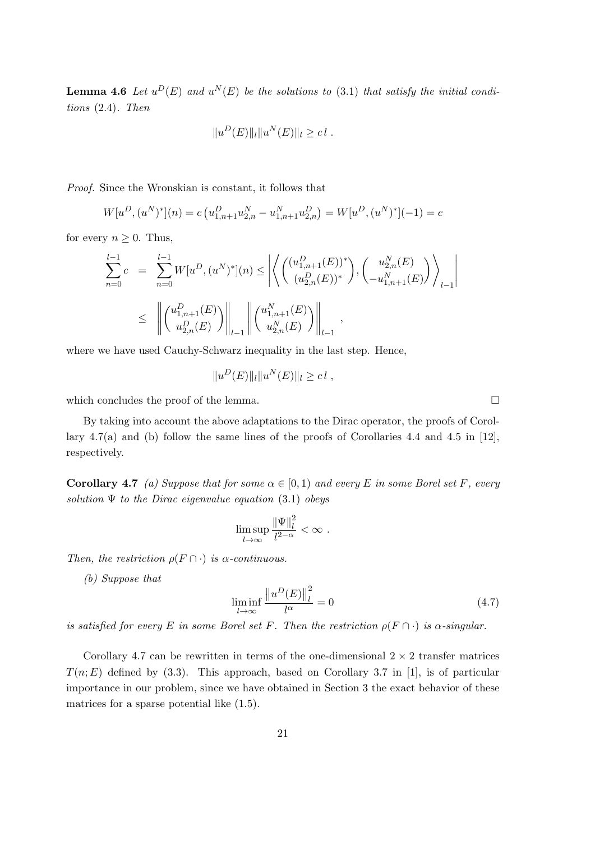**Lemma 4.6** Let  $u^D(E)$  and  $u^N(E)$  be the solutions to (3.1) that satisfy the initial conditions (2.4). Then

$$
||u^D(E)||_l||u^N(E)||_l \geq c l.
$$

Proof. Since the Wronskian is constant, it follows that

$$
W[u^D, (u^N)^*](n) = c\left(u_{1,n+1}^D u_{2,n}^N - u_{1,n+1}^N u_{2,n}^D\right) = W[u^D, (u^N)^*](-1) = c
$$

for every  $n \geq 0$ . Thus,

$$
\sum_{n=0}^{l-1} c = \sum_{n=0}^{l-1} W[u^D, (u^N)^*](n) \le \left| \left\langle \begin{pmatrix} (u_{1,n+1}^D(E))^* \\ (u_{2,n}^D(E))^* \end{pmatrix}, \begin{pmatrix} u_{2,n}^N(E) \\ -u_{1,n+1}^N(E) \end{pmatrix} \right\rangle_{l-1} \right|
$$
  

$$
\le \left| \left| \begin{pmatrix} u_{1,n+1}^D(E) \\ u_{2,n}^D(E) \end{pmatrix} \right|_{l-1} \right| \left| \begin{pmatrix} u_{1,n+1}^N(E) \\ u_{2,n}^N(E) \end{pmatrix} \right|_{l-1},
$$

where we have used Cauchy-Schwarz inequality in the last step. Hence,

$$
||u^D(E)||_l||u^N(E)||_l \geq c l,
$$

which concludes the proof of the lemma.  $\Box$ 

By taking into account the above adaptations to the Dirac operator, the proofs of Corollary 4.7(a) and (b) follow the same lines of the proofs of Corollaries 4.4 and 4.5 in [12], respectively.

**Corollary 4.7** (a) Suppose that for some  $\alpha \in [0,1)$  and every E in some Borel set F, every solution  $\Psi$  to the Dirac eigenvalue equation (3.1) obeys

$$
\limsup_{l\to\infty}\frac{\|\Psi\|_l^2}{l^{2-\alpha}}<\infty.
$$

Then, the restriction  $\rho(F \cap \cdot)$  is  $\alpha$ -continuous.

(b) Suppose that

$$
\liminf_{l \to \infty} \frac{\left\|u^D(E)\right\|_l^2}{l^{\alpha}} = 0\tag{4.7}
$$

is satisfied for every E in some Borel set F. Then the restriction  $\rho(F \cap \cdot)$  is  $\alpha$ -singular.

Corollary 4.7 can be rewritten in terms of the one-dimensional  $2 \times 2$  transfer matrices  $T(n; E)$  defined by (3.3). This approach, based on Corollary 3.7 in [1], is of particular importance in our problem, since we have obtained in Section 3 the exact behavior of these matrices for a sparse potential like (1.5).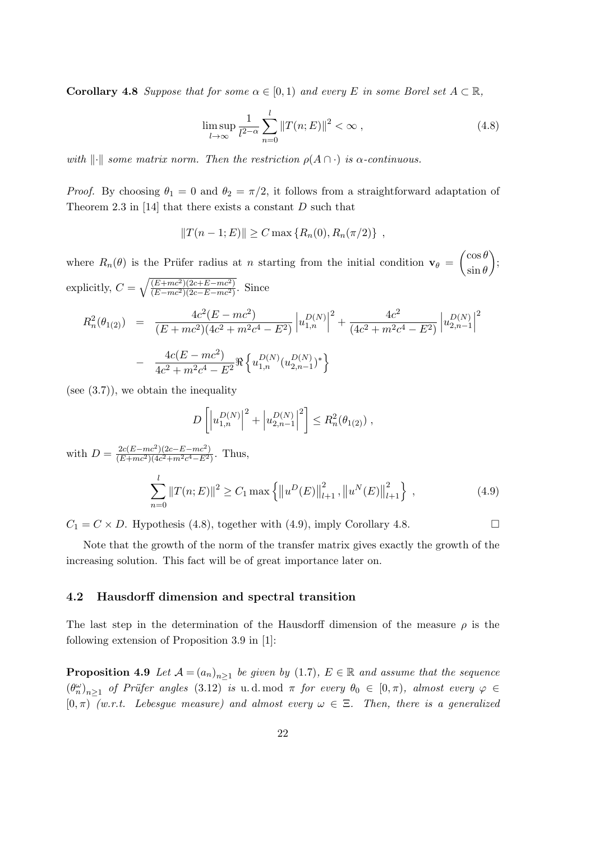**Corollary 4.8** Suppose that for some  $\alpha \in [0,1)$  and every E in some Borel set  $A \subset \mathbb{R}$ ,

$$
\limsup_{l \to \infty} \frac{1}{l^{2-\alpha}} \sum_{n=0}^{l} ||T(n;E)||^2 < \infty \,, \tag{4.8}
$$

with  $\lVert \cdot \rVert$  some matrix norm. Then the restriction  $\rho(A \cap \cdot)$  is  $\alpha$ -continuous.

*Proof.* By choosing  $\theta_1 = 0$  and  $\theta_2 = \pi/2$ , it follows from a straightforward adaptation of Theorem 2.3 in  $[14]$  that there exists a constant D such that

$$
||T(n-1;E)|| \ge C \max \{ R_n(0), R_n(\pi/2) \},
$$

where  $R_n(\theta)$  is the Prüfer radius at *n* starting from the initial condition  $\mathbf{v}_{\theta} = \begin{pmatrix} \cos \theta \\ \sin \theta \end{pmatrix}$  $\sin \theta$  $\bigg),$ explicitly,  $C = \sqrt{\frac{(E + mc^2)(2c + E - mc^2)}{(E - mc^2)(2c - E - mc^2)}}$  $\frac{(E+mc^2)(2c+E-mc^2)}{(E-mc^2)(2c-E-mc^2)}$ . Since

$$
R_n^2(\theta_{1(2)}) = \frac{4c^2(E - mc^2)}{(E + mc^2)(4c^2 + m^2c^4 - E^2)} \left| u_{1,n}^{D(N)} \right|^2 + \frac{4c^2}{(4c^2 + m^2c^4 - E^2)} \left| u_{2,n-1}^{D(N)} \right|^2
$$

$$
- \frac{4c(E - mc^2)}{4c^2 + m^2c^4 - E^2} \Re \left\{ u_{1,n}^{D(N)} (u_{2,n-1}^{D(N)})^* \right\}
$$

(see  $(3.7)$ ), we obtain the inequality

$$
D\left[\left|u_{1,n}^{D(N)}\right|^2 + \left|u_{2,n-1}^{D(N)}\right|^2\right] \leq R_n^2(\theta_{1(2)}) ,
$$

with  $D = \frac{2c(E-mc^2)(2c-E-mc^2)}{(E+mc^2)(4c^2+m^2c^4-E^2)}$  $\frac{2c(E-mc^{2})(2c-E-mc^{2})}{(E+mc^{2})(4c^{2}+m^{2}c^{4}-E^{2})}$ . Thus,  $\sum$ l  $n=0$  $||T(n; E)||^2 \ge C_1 \max \{ ||u^D(E)||$  $\frac{2}{l+1}, \|u^N(E)\|$  $\begin{matrix} 2 \\ l+1 \end{matrix}$  $(4.9)$ 

 $C_1 = C \times D$ . Hypothesis (4.8), together with (4.9), imply Corollary 4.8.

Note that the growth of the norm of the transfer matrix gives exactly the growth of the increasing solution. This fact will be of great importance later on.

#### 4.2 Hausdorff dimension and spectral transition

The last step in the determination of the Hausdorff dimension of the measure  $\rho$  is the following extension of Proposition 3.9 in [1]:

**Proposition 4.9** Let  $A = (a_n)_{n \geq 1}$  be given by (1.7),  $E \in \mathbb{R}$  and assume that the sequence  $(\theta_n^{\omega})_{n\geq 1}$  of Prüfer angles (3.12) is u.d. mod  $\pi$  for every  $\theta_0 \in [0,\pi)$ , almost every  $\varphi \in$  $[0, \pi)$  (w.r.t. Lebesgue measure) and almost every  $\omega \in \Xi$ . Then, there is a generalized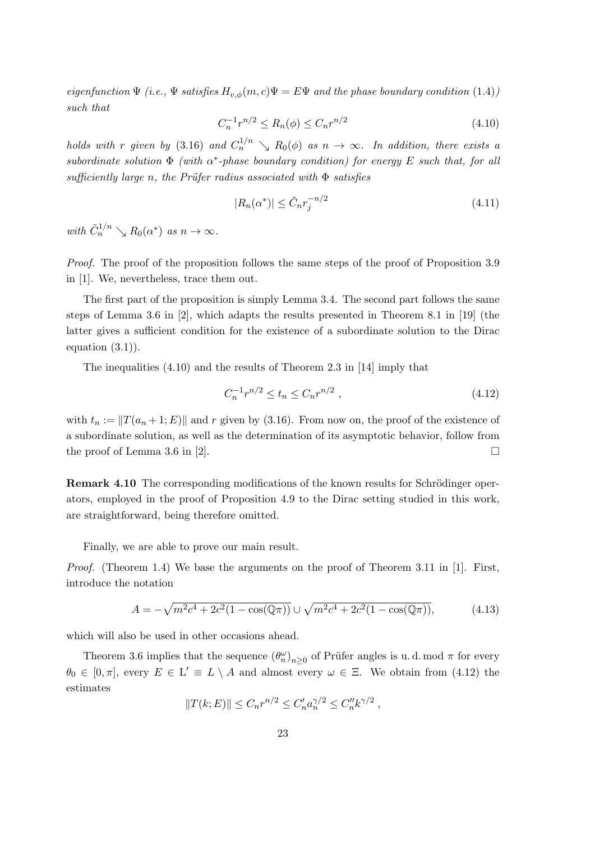eigenfunction  $\Psi$  (i.e.,  $\Psi$  satisfies  $H_{v,\phi}(m,c)\Psi = E\Psi$  and the phase boundary condition (1.4)) such that

$$
C_n^{-1}r^{n/2} \le R_n(\phi) \le C_n r^{n/2} \tag{4.10}
$$

holds with r given by (3.16) and  $C_n^{1/n} \searrow R_0(\phi)$  as  $n \to \infty$ . In addition, there exists a subordinate solution  $\Phi$  (with  $\alpha^*$ -phase boundary condition) for energy E such that, for all sufficiently large n, the Prüfer radius associated with  $\Phi$  satisfies

$$
|R_n(\alpha^*)| \le \tilde{C}_n r_j^{-n/2} \tag{4.11}
$$

with  $\tilde{C}_n^{1/n} \searrow R_0(\alpha^*)$  as  $n \to \infty$ .

Proof. The proof of the proposition follows the same steps of the proof of Proposition 3.9 in [1]. We, nevertheless, trace them out.

The first part of the proposition is simply Lemma 3.4. The second part follows the same steps of Lemma 3.6 in [2], which adapts the results presented in Theorem 8.1 in [19] (the latter gives a sufficient condition for the existence of a subordinate solution to the Dirac equation  $(3.1)$ ).

The inequalities (4.10) and the results of Theorem 2.3 in [14] imply that

$$
C_n^{-1}r^{n/2} \le t_n \le C_n r^{n/2} \tag{4.12}
$$

with  $t_n := ||T(a_n + 1; E)||$  and r given by (3.16). From now on, the proof of the existence of a subordinate solution, as well as the determination of its asymptotic behavior, follow from the proof of Lemma 3.6 in [2].  $\Box$ 

**Remark 4.10** The corresponding modifications of the known results for Schrödinger operators, employed in the proof of Proposition 4.9 to the Dirac setting studied in this work, are straightforward, being therefore omitted.

Finally, we are able to prove our main result.

*Proof.* (Theorem 1.4) We base the arguments on the proof of Theorem 3.11 in [1]. First, introduce the notation

$$
A = -\sqrt{m^2c^4 + 2c^2(1 - \cos(\mathbb{Q}\pi))} \cup \sqrt{m^2c^4 + 2c^2(1 - \cos(\mathbb{Q}\pi))},\tag{4.13}
$$

which will also be used in other occasions ahead.

Theorem 3.6 implies that the sequence  $(\theta_n^{\omega})_{n\geq 0}$  of Prüfer angles is u.d. mod  $\pi$  for every  $\theta_0 \in [0, \pi]$ , every  $E \in L' \equiv L \setminus A$  and almost every  $\omega \in \Xi$ . We obtain from (4.12) the estimates

$$
||T(k;E)|| \leq C_n r^{n/2} \leq C'_n a_n^{\gamma/2} \leq C''_n k^{\gamma/2} ,
$$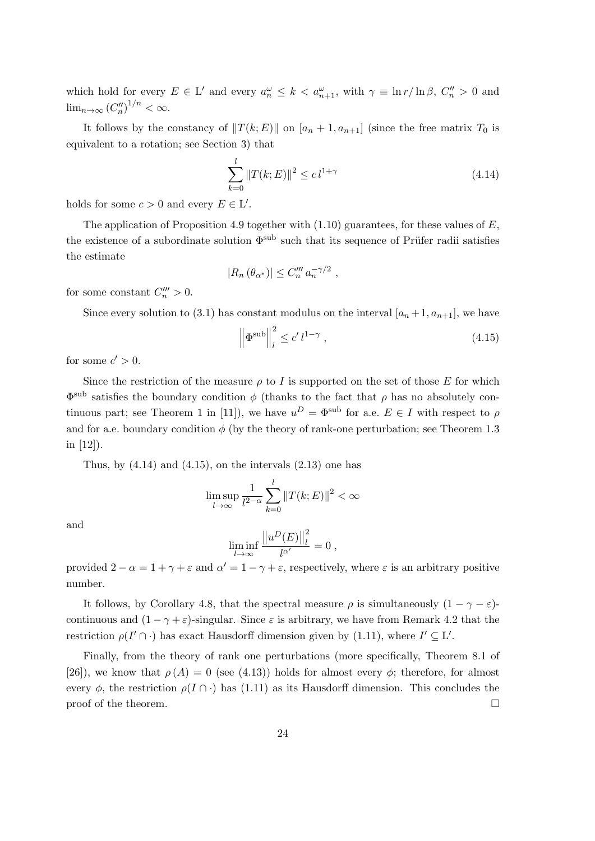which hold for every  $E \in L'$  and every  $a_n^{\omega} \leq k < a_{n+1}^{\omega}$ , with  $\gamma \equiv \ln r / \ln \beta$ ,  $C_n^{\prime\prime} > 0$  and  $\lim_{n\to\infty} (C''_n)^{1/n} < \infty.$ 

It follows by the constancy of  $||T(k; E)||$  on  $[a_n + 1, a_{n+1}]$  (since the free matrix  $T_0$  is equivalent to a rotation; see Section 3) that

$$
\sum_{k=0}^{l} \|T(k;E)\|^2 \le c \, l^{1+\gamma} \tag{4.14}
$$

holds for some  $c > 0$  and every  $E \in L'$ .

The application of Proposition 4.9 together with  $(1.10)$  guarantees, for these values of E, the existence of a subordinate solution  $\Phi^{\text{sub}}$  such that its sequence of Prüfer radii satisfies the estimate

$$
|R_n(\theta_{\alpha^*})| \leq C_n''' a_n^{-\gamma/2} ,
$$

for some constant  $C_n^{\prime\prime\prime} > 0$ .

Since every solution to (3.1) has constant modulus on the interval  $[a_n+1, a_{n+1}]$ , we have

$$
\left\|\Phi^{\text{sub}}\right\|_{l}^{2} \le c' \, l^{1-\gamma} \,,\tag{4.15}
$$

for some  $c' > 0$ .

Since the restriction of the measure  $\rho$  to I is supported on the set of those E for which  $\Phi^{\text{sub}}$  satisfies the boundary condition φ (thanks to the fact that  $ρ$  has no absolutely continuous part; see Theorem 1 in [11]), we have  $u^D = \Phi^{\text{sub}}$  for a.e.  $E \in I$  with respect to  $\rho$ and for a.e. boundary condition  $\phi$  (by the theory of rank-one perturbation; see Theorem 1.3 in [12]).

Thus, by  $(4.14)$  and  $(4.15)$ , on the intervals  $(2.13)$  one has

$$
\limsup_{l \to \infty} \frac{1}{l^{2-\alpha}} \sum_{k=0}^{l} ||T(k;E)||^2 < \infty
$$

and

$$
\liminf_{l \to \infty} \frac{\left\|u^D(E)\right\|_l^2}{l^{\alpha'}} = 0,
$$

provided  $2 - \alpha = 1 + \gamma + \varepsilon$  and  $\alpha' = 1 - \gamma + \varepsilon$ , respectively, where  $\varepsilon$  is an arbitrary positive number.

It follows, by Corollary 4.8, that the spectral measure  $\rho$  is simultaneously  $(1 - \gamma - \varepsilon)$ continuous and  $(1 - \gamma + \varepsilon)$ -singular. Since  $\varepsilon$  is arbitrary, we have from Remark 4.2 that the restriction  $\rho(I' \cap \cdot)$  has exact Hausdorff dimension given by (1.11), where  $I' \subseteq L'$ .

Finally, from the theory of rank one perturbations (more specifically, Theorem 8.1 of [26]), we know that  $\rho(A) = 0$  (see (4.13)) holds for almost every  $\phi$ ; therefore, for almost every  $\phi$ , the restriction  $\rho(I \cap \cdot)$  has (1.11) as its Hausdorff dimension. This concludes the proof of the theorem.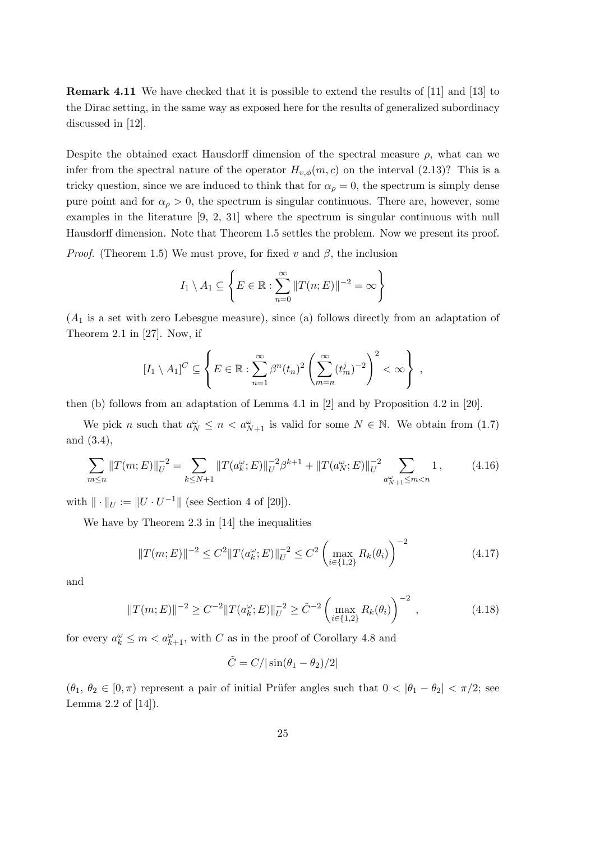Remark 4.11 We have checked that it is possible to extend the results of [11] and [13] to the Dirac setting, in the same way as exposed here for the results of generalized subordinacy discussed in [12].

Despite the obtained exact Hausdorff dimension of the spectral measure  $\rho$ , what can we infer from the spectral nature of the operator  $H_{v,\phi}(m,c)$  on the interval (2.13)? This is a tricky question, since we are induced to think that for  $\alpha_{\rho} = 0$ , the spectrum is simply dense pure point and for  $\alpha_{\rho} > 0$ , the spectrum is singular continuous. There are, however, some examples in the literature [9, 2, 31] where the spectrum is singular continuous with null Hausdorff dimension. Note that Theorem 1.5 settles the problem. Now we present its proof.

*Proof.* (Theorem 1.5) We must prove, for fixed v and  $\beta$ , the inclusion

$$
I_1 \setminus A_1 \subseteq \left\{ E \in \mathbb{R} : \sum_{n=0}^{\infty} ||T(n;E)||^{-2} = \infty \right\}
$$

 $(A_1)$  is a set with zero Lebesgue measure), since (a) follows directly from an adaptation of Theorem 2.1 in [27]. Now, if

$$
[I_1 \setminus A_1]^C \subseteq \left\{ E \in \mathbb{R} : \sum_{n=1}^{\infty} \beta^n (t_n)^2 \left( \sum_{m=n}^{\infty} (t_m^j)^{-2} \right)^2 < \infty \right\},\
$$

then (b) follows from an adaptation of Lemma 4.1 in [2] and by Proposition 4.2 in [20].

We pick n such that  $a_N^{\omega} \leq n < a_{N+1}^{\omega}$  is valid for some  $N \in \mathbb{N}$ . We obtain from (1.7) and (3.4),

$$
\sum_{m\leq n} \|T(m;E)\|_{U}^{-2} = \sum_{k\leq N+1} \|T(a_{k}^{\omega};E)\|_{U}^{-2}\beta^{k+1} + \|T(a_{N}^{\omega};E)\|_{U}^{-2} \sum_{a_{N+1}^{\omega}\leq m < n} 1,\tag{4.16}
$$

with  $\|\cdot\|_U := \|U \cdot U^{-1}\|$  (see Section 4 of [20]).

We have by Theorem 2.3 in [14] the inequalities

$$
||T(m;E)||^{-2} \le C^2 ||T(a_k^{\omega};E)||_{U}^{-2} \le C^2 \left(\max_{i \in \{1,2\}} R_k(\theta_i)\right)^{-2}
$$
(4.17)

and

$$
||T(m;E)||^{-2} \ge C^{-2} ||T(a_k^{\omega};E)||_{U}^{-2} \ge \tilde{C}^{-2} \left( \max_{i \in \{1,2\}} R_k(\theta_i) \right)^{-2}, \qquad (4.18)
$$

for every  $a_k^{\omega} \leq m < a_{k+1}^{\omega}$ , with C as in the proof of Corollary 4.8 and

$$
\tilde{C} = C/|\sin(\theta_1 - \theta_2)/2|
$$

 $(\theta_1, \theta_2 \in [0, \pi)$  represent a pair of initial Prüfer angles such that  $0 < |\theta_1 - \theta_2| < \pi/2$ ; see Lemma 2.2 of [14]).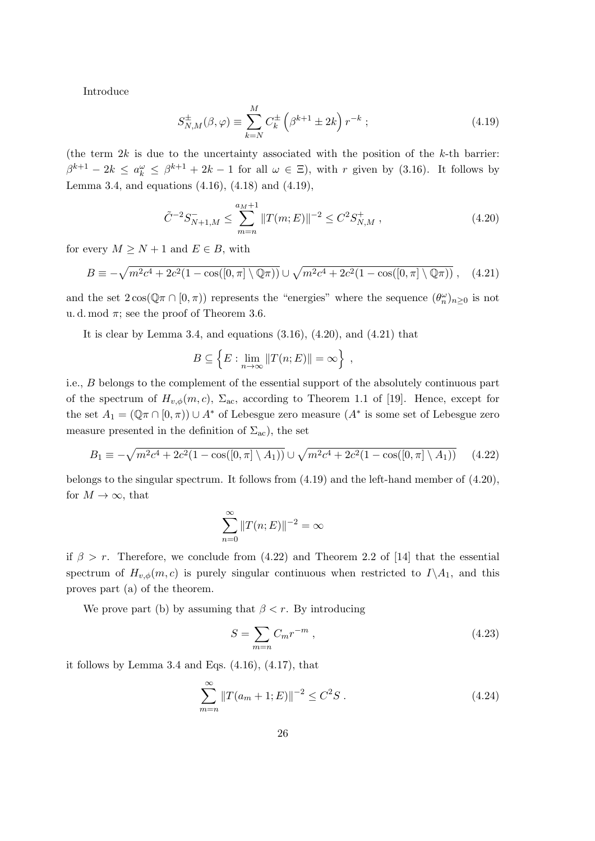Introduce

$$
S_{N,M}^{\pm}(\beta,\varphi) \equiv \sum_{k=N}^{M} C_k^{\pm} \left(\beta^{k+1} \pm 2k\right) r^{-k};\tag{4.19}
$$

(the term  $2k$  is due to the uncertainty associated with the position of the  $k$ -th barrier:  $\beta^{k+1} - 2k \le a_k^{\omega} \le \beta^{k+1} + 2k - 1$  for all  $\omega \in \Xi$ ), with r given by (3.16). It follows by Lemma 3.4, and equations (4.16), (4.18) and (4.19),

$$
\tilde{C}^{-2} S_{N+1,M}^- \le \sum_{m=n}^{a_M+1} \|T(m;E)\|^{-2} \le C^2 S_{N,M}^+, \tag{4.20}
$$

for every  $M \geq N+1$  and  $E \in B$ , with

$$
B \equiv -\sqrt{m^2c^4 + 2c^2(1 - \cos([0, \pi] \setminus \mathbb{Q}\pi))} \cup \sqrt{m^2c^4 + 2c^2(1 - \cos([0, \pi] \setminus \mathbb{Q}\pi))}, \quad (4.21)
$$

and the set  $2\cos(\mathbb{Q}\pi \cap [0,\pi))$  represents the "energies" where the sequence  $(\theta_n^{\omega})_{n\geq 0}$  is not u. d. mod  $\pi$ ; see the proof of Theorem 3.6.

It is clear by Lemma 3.4, and equations  $(3.16)$ ,  $(4.20)$ , and  $(4.21)$  that

$$
B \subseteq \left\{ E : \lim_{n \to \infty} ||T(n; E)|| = \infty \right\},\,
$$

i.e., B belongs to the complement of the essential support of the absolutely continuous part of the spectrum of  $H_{v,\phi}(m, c)$ ,  $\Sigma_{ac}$ , according to Theorem 1.1 of [19]. Hence, except for the set  $A_1 = (\mathbb{Q} \pi \cap [0, \pi)) \cup A^*$  of Lebesgue zero measure  $(A^*$  is some set of Lebesgue zero measure presented in the definition of  $\Sigma_{ac}$ ), the set

$$
B_1 \equiv -\sqrt{m^2c^4 + 2c^2(1 - \cos([0, \pi] \setminus A_1))} \cup \sqrt{m^2c^4 + 2c^2(1 - \cos([0, \pi] \setminus A_1))}
$$
(4.22)

belongs to the singular spectrum. It follows from (4.19) and the left-hand member of (4.20), for  $M \to \infty$ , that

$$
\sum_{n=0}^{\infty} ||T(n;E)||^{-2} = \infty
$$

if  $\beta > r$ . Therefore, we conclude from (4.22) and Theorem 2.2 of [14] that the essential spectrum of  $H_{v,\phi}(m,c)$  is purely singular continuous when restricted to  $I\setminus A_1$ , and this proves part (a) of the theorem.

We prove part (b) by assuming that  $\beta < r$ . By introducing

$$
S = \sum_{m=n} C_m r^{-m} , \qquad (4.23)
$$

it follows by Lemma 3.4 and Eqs.  $(4.16)$ ,  $(4.17)$ , that

$$
\sum_{m=n}^{\infty} ||T(a_m+1;E)||^{-2} \le C^2 S . \tag{4.24}
$$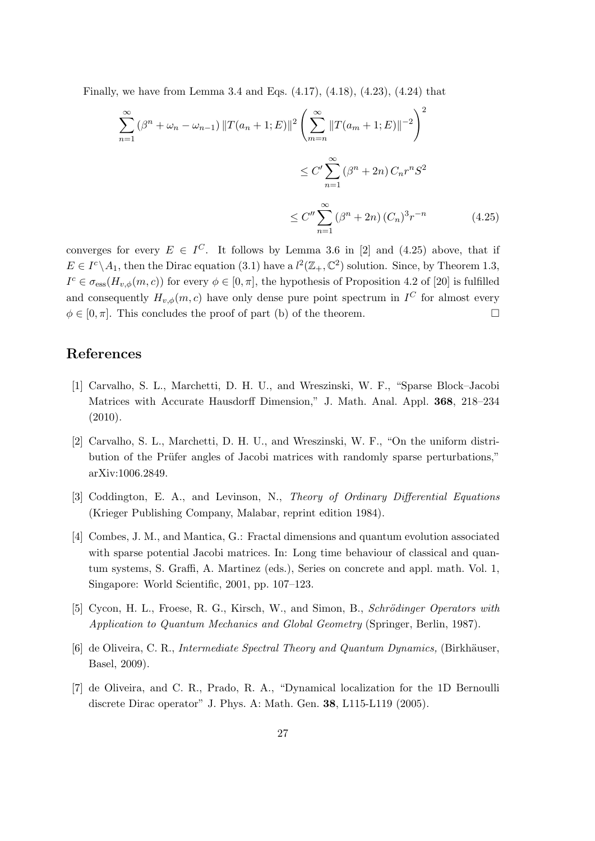Finally, we have from Lemma 3.4 and Eqs. (4.17), (4.18), (4.23), (4.24) that

$$
\sum_{n=1}^{\infty} (\beta^n + \omega_n - \omega_{n-1}) ||T(a_n + 1; E)||^2 \left( \sum_{m=n}^{\infty} ||T(a_m + 1; E)||^{-2} \right)^2
$$
  

$$
\leq C' \sum_{n=1}^{\infty} (\beta^n + 2n) C_n r^n S^2
$$
  

$$
\leq C'' \sum_{n=1}^{\infty} (\beta^n + 2n) (C_n)^3 r^{-n}
$$
(4.25)

converges for every  $E \in I^C$ . It follows by Lemma 3.6 in [2] and (4.25) above, that if  $E \in I^c \backslash A_1$ , then the Dirac equation (3.1) have a  $l^2(\mathbb{Z}_+,\mathbb{C}^2)$  solution. Since, by Theorem 1.3,  $I^c \in \sigma_{\text{ess}}(H_{v,\phi}(m,c))$  for every  $\phi \in [0,\pi]$ , the hypothesis of Proposition 4.2 of [20] is fulfilled and consequently  $H_{v,\phi}(m,c)$  have only dense pure point spectrum in  $I^C$  for almost every  $\phi \in [0, \pi]$ . This concludes the proof of part (b) of the theorem.

### References

- [1] Carvalho, S. L., Marchetti, D. H. U., and Wreszinski, W. F., "Sparse Block–Jacobi Matrices with Accurate Hausdorff Dimension," J. Math. Anal. Appl. 368, 218–234  $(2010).$
- [2] Carvalho, S. L., Marchetti, D. H. U., and Wreszinski, W. F., "On the uniform distribution of the Prüfer angles of Jacobi matrices with randomly sparse perturbations," arXiv:1006.2849.
- [3] Coddington, E. A., and Levinson, N., Theory of Ordinary Differential Equations (Krieger Publishing Company, Malabar, reprint edition 1984).
- [4] Combes, J. M., and Mantica, G.: Fractal dimensions and quantum evolution associated with sparse potential Jacobi matrices. In: Long time behaviour of classical and quantum systems, S. Graffi, A. Martinez (eds.), Series on concrete and appl. math. Vol. 1, Singapore: World Scientific, 2001, pp. 107–123.
- [5] Cycon, H. L., Froese, R. G., Kirsch, W., and Simon, B., Schrödinger Operators with Application to Quantum Mechanics and Global Geometry (Springer, Berlin, 1987).
- [6] de Oliveira, C. R., *Intermediate Spectral Theory and Quantum Dynamics*, (Birkhäuser, Basel, 2009).
- [7] de Oliveira, and C. R., Prado, R. A., "Dynamical localization for the 1D Bernoulli discrete Dirac operator" J. Phys. A: Math. Gen. 38, L115-L119 (2005).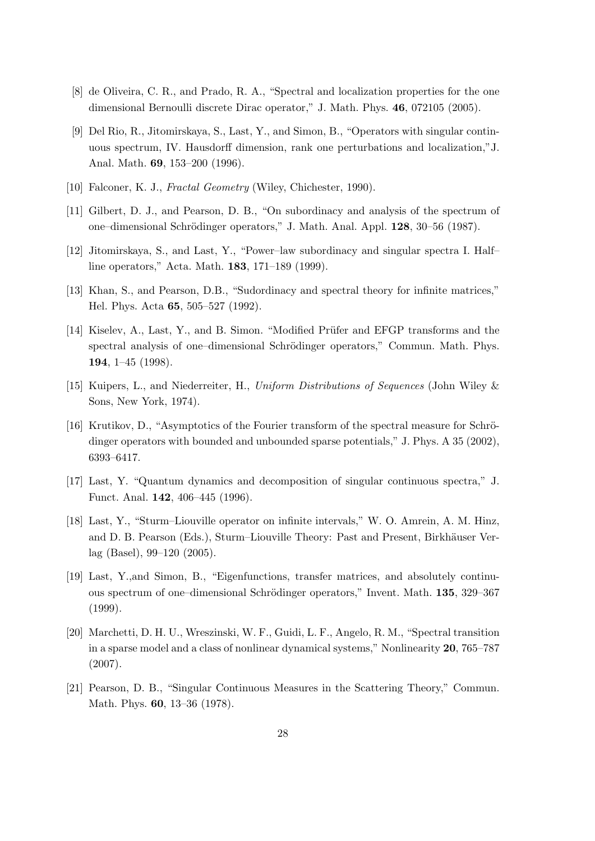- [8] de Oliveira, C. R., and Prado, R. A., "Spectral and localization properties for the one dimensional Bernoulli discrete Dirac operator," J. Math. Phys. 46, 072105 (2005).
- [9] Del Rio, R., Jitomirskaya, S., Last, Y., and Simon, B., "Operators with singular continuous spectrum, IV. Hausdorff dimension, rank one perturbations and localization,"J. Anal. Math. 69, 153–200 (1996).
- [10] Falconer, K. J., Fractal Geometry (Wiley, Chichester, 1990).
- [11] Gilbert, D. J., and Pearson, D. B., "On subordinacy and analysis of the spectrum of one–dimensional Schrödinger operators," J. Math. Anal. Appl. 128, 30–56 (1987).
- [12] Jitomirskaya, S., and Last, Y., "Power–law subordinacy and singular spectra I. Half– line operators," Acta. Math. 183, 171–189 (1999).
- [13] Khan, S., and Pearson, D.B., "Sudordinacy and spectral theory for infinite matrices," Hel. Phys. Acta 65, 505–527 (1992).
- [14] Kiselev, A., Last, Y., and B. Simon. "Modified Prüfer and EFGP transforms and the spectral analysis of one-dimensional Schrödinger operators," Commun. Math. Phys. 194, 1–45 (1998).
- [15] Kuipers, L., and Niederreiter, H., Uniform Distributions of Sequences (John Wiley & Sons, New York, 1974).
- [16] Krutikov, D., "Asymptotics of the Fourier transform of the spectral measure for Schrödinger operators with bounded and unbounded sparse potentials," J. Phys. A 35 (2002), 6393–6417.
- [17] Last, Y. "Quantum dynamics and decomposition of singular continuous spectra," J. Funct. Anal. 142, 406–445 (1996).
- [18] Last, Y., "Sturm–Liouville operator on infinite intervals," W. O. Amrein, A. M. Hinz, and D. B. Pearson (Eds.), Sturm–Liouville Theory: Past and Present, Birkhäuser Verlag (Basel), 99–120 (2005).
- [19] Last, Y.,and Simon, B., "Eigenfunctions, transfer matrices, and absolutely continuous spectrum of one–dimensional Schrödinger operators," Invent. Math. 135, 329–367 (1999).
- [20] Marchetti, D. H. U., Wreszinski, W. F., Guidi, L. F., Angelo, R. M., "Spectral transition in a sparse model and a class of nonlinear dynamical systems," Nonlinearity 20, 765–787 (2007).
- [21] Pearson, D. B., "Singular Continuous Measures in the Scattering Theory," Commun. Math. Phys. 60, 13–36 (1978).